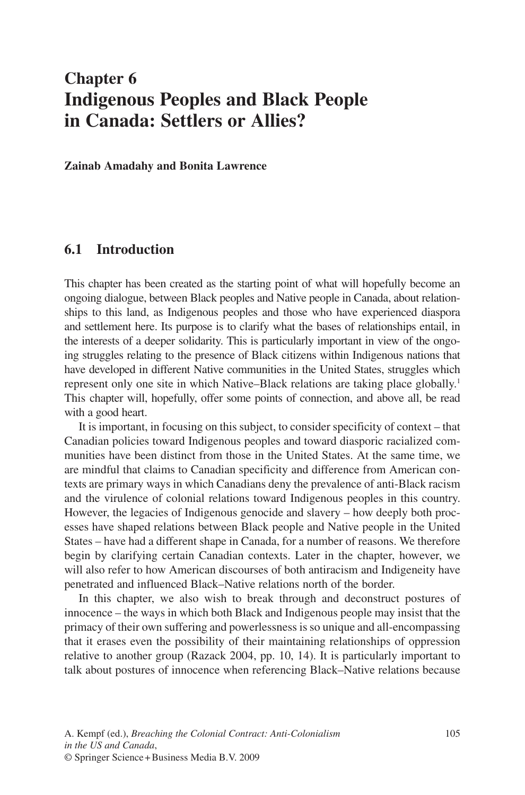# **Chapter 6 Indigenous Peoples and Black People in Canada: Settlers or Allies?**

**Zainab Amadahy and Bonita Lawrence**

#### **6.1 Introduction**

This chapter has been created as the starting point of what will hopefully become an ongoing dialogue, between Black peoples and Native people in Canada, about relationships to this land, as Indigenous peoples and those who have experienced diaspora and settlement here. Its purpose is to clarify what the bases of relationships entail, in the interests of a deeper solidarity. This is particularly important in view of the ongoing struggles relating to the presence of Black citizens within Indigenous nations that have developed in different Native communities in the United States, struggles which represent only one site in which Native–Black relations are taking place globally.1 This chapter will, hopefully, offer some points of connection, and above all, be read with a good heart.

It is important, in focusing on this subject, to consider specificity of context – that Canadian policies toward Indigenous peoples and toward diasporic racialized communities have been distinct from those in the United States. At the same time, we are mindful that claims to Canadian specificity and difference from American contexts are primary ways in which Canadians deny the prevalence of anti-Black racism and the virulence of colonial relations toward Indigenous peoples in this country. However, the legacies of Indigenous genocide and slavery – how deeply both processes have shaped relations between Black people and Native people in the United States – have had a different shape in Canada, for a number of reasons. We therefore begin by clarifying certain Canadian contexts. Later in the chapter, however, we will also refer to how American discourses of both antiracism and Indigeneity have penetrated and influenced Black–Native relations north of the border.

In this chapter, we also wish to break through and deconstruct postures of innocence – the ways in which both Black and Indigenous people may insist that the primacy of their own suffering and powerlessness is so unique and all- encompassing that it erases even the possibility of their maintaining relationships of oppression relative to another group (Razack 2004, pp. 10, 14). It is particularly important to talk about postures of innocence when referencing Black–Native relations because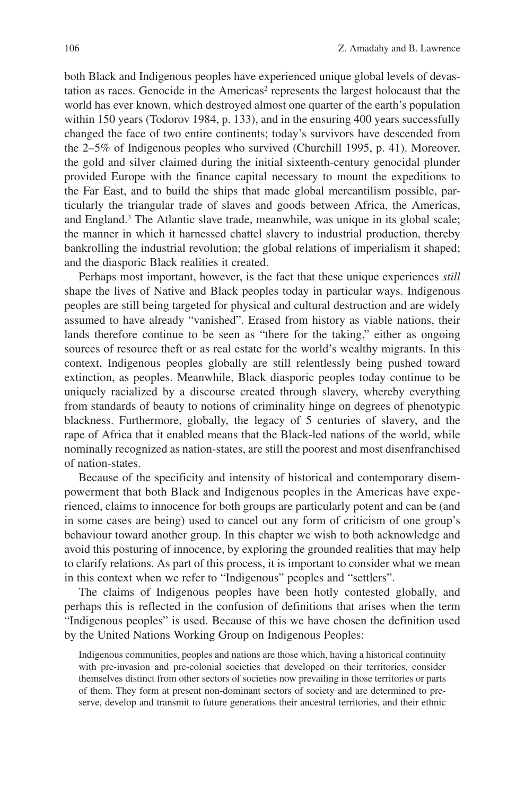both Black and Indigenous peoples have experienced unique global levels of devastation as races. Genocide in the Americas<sup>2</sup> represents the largest holocaust that the world has ever known, which destroyed almost one quarter of the earth's population within 150 years (Todorov 1984, p. 133), and in the ensuring 400 years successfully changed the face of two entire continents; today's survivors have descended from the 2–5% of Indigenous peoples who survived (Churchill 1995, p. 41). Moreover, the gold and silver claimed during the initial sixteenth-century genocidal plunder provided Europe with the finance capital necessary to mount the expeditions to the Far East, and to build the ships that made global mercantilism possible, particularly the triangular trade of slaves and goods between Africa, the Americas, and England.<sup>3</sup> The Atlantic slave trade, meanwhile, was unique in its global scale; the manner in which it harnessed chattel slavery to industrial production, thereby bankrolling the industrial revolution; the global relations of imperialism it shaped; and the diasporic Black realities it created.

Perhaps most important, however, is the fact that these unique experiences *still* shape the lives of Native and Black peoples today in particular ways. Indigenous peoples are still being targeted for physical and cultural destruction and are widely assumed to have already "vanished". Erased from history as viable nations, their lands therefore continue to be seen as "there for the taking," either as ongoing sources of resource theft or as real estate for the world's wealthy migrants. In this context, Indigenous peoples globally are still relentlessly being pushed toward extinction, as peoples. Meanwhile, Black diasporic peoples today continue to be uniquely racialized by a discourse created through slavery, whereby everything from standards of beauty to notions of criminality hinge on degrees of phenotypic blackness. Furthermore, globally, the legacy of 5 centuries of slavery, and the rape of Africa that it enabled means that the Black-led nations of the world, while nominally recognized as nation-states, are still the poorest and most disenfranchised of nation-states.

Because of the specificity and intensity of historical and contemporary disempowerment that both Black and Indigenous peoples in the Americas have experienced, claims to innocence for both groups are particularly potent and can be (and in some cases are being) used to cancel out any form of criticism of one group's behaviour toward another group. In this chapter we wish to both acknowledge and avoid this posturing of innocence, by exploring the grounded realities that may help to clarify relations. As part of this process, it is important to consider what we mean in this context when we refer to "Indigenous" peoples and "settlers".

The claims of Indigenous peoples have been hotly contested globally, and perhaps this is reflected in the confusion of definitions that arises when the term "Indigenous peoples" is used. Because of this we have chosen the definition used by the United Nations Working Group on Indigenous Peoples:

Indigenous communities, peoples and nations are those which, having a historical continuity with pre-invasion and pre-colonial societies that developed on their territories, consider themselves distinct from other sectors of societies now prevailing in those territories or parts of them. They form at present non-dominant sectors of society and are determined to preserve, develop and transmit to future generations their ancestral territories, and their ethnic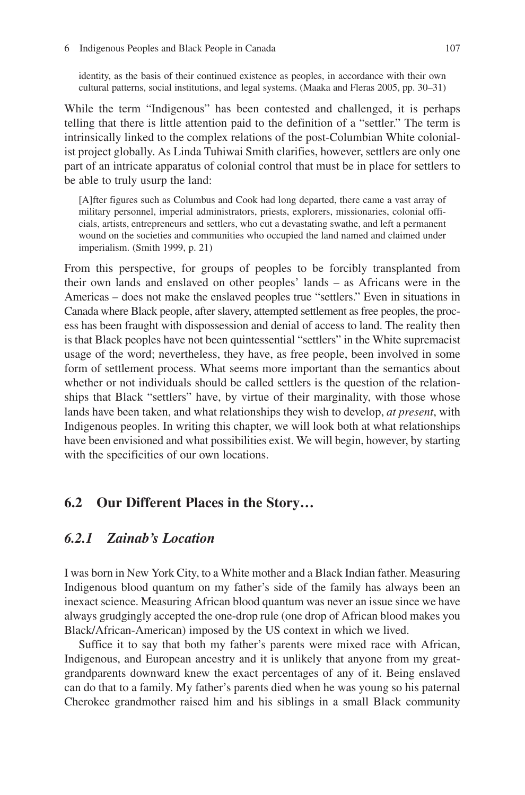identity, as the basis of their continued existence as peoples, in accordance with their own cultural patterns, social institutions, and legal systems. (Maaka and Fleras 2005, pp. 30–31)

While the term "Indigenous" has been contested and challenged, it is perhaps telling that there is little attention paid to the definition of a "settler." The term is intrinsically linked to the complex relations of the post-Columbian White colonialist project globally. As Linda Tuhiwai Smith clarifies, however, settlers are only one part of an intricate apparatus of colonial control that must be in place for settlers to be able to truly usurp the land:

[A]fter figures such as Columbus and Cook had long departed, there came a vast array of military personnel, imperial administrators, priests, explorers, missionaries, colonial officials, artists, entrepreneurs and settlers, who cut a devastating swathe, and left a permanent wound on the societies and communities who occupied the land named and claimed under imperialism. (Smith 1999, p. 21)

From this perspective, for groups of peoples to be forcibly transplanted from their own lands and enslaved on other peoples' lands – as Africans were in the Americas – does not make the enslaved peoples true "settlers." Even in situations in Canada where Black people, after slavery, attempted settlement as free peoples, the process has been fraught with dispossession and denial of access to land. The reality then is that Black peoples have not been quintessential "settlers" in the White supremacist usage of the word; nevertheless, they have, as free people, been involved in some form of settlement process. What seems more important than the semantics about whether or not individuals should be called settlers is the question of the relationships that Black "settlers" have, by virtue of their marginality, with those whose lands have been taken, and what relationships they wish to develop, *at present*, with Indigenous peoples. In writing this chapter, we will look both at what relationships have been envisioned and what possibilities exist. We will begin, however, by starting with the specificities of our own locations.

### **6.2 Our Different Places in the Story…**

### *6.2.1 Zainab's Location*

I was born in New York City, to a White mother and a Black Indian father. Measuring Indigenous blood quantum on my father's side of the family has always been an inexact science. Measuring African blood quantum was never an issue since we have always grudgingly accepted the one-drop rule (one drop of African blood makes you Black/African-American) imposed by the US context in which we lived.

Suffice it to say that both my father's parents were mixed race with African, Indigenous, and European ancestry and it is unlikely that anyone from my greatgrandparents downward knew the exact percentages of any of it. Being enslaved can do that to a family. My father's parents died when he was young so his paternal Cherokee grandmother raised him and his siblings in a small Black community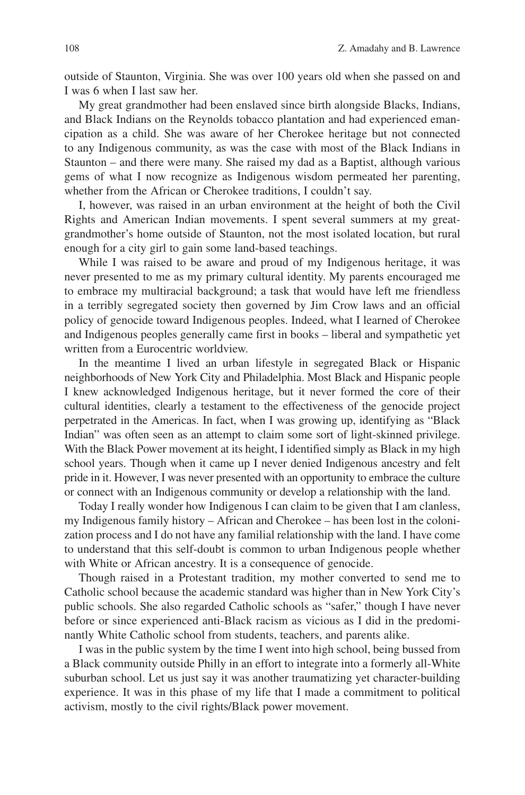outside of Staunton, Virginia. She was over 100 years old when she passed on and I was 6 when I last saw her.

My great grandmother had been enslaved since birth alongside Blacks, Indians, and Black Indians on the Reynolds tobacco plantation and had experienced emancipation as a child. She was aware of her Cherokee heritage but not connected to any Indigenous community, as was the case with most of the Black Indians in Staunton – and there were many. She raised my dad as a Baptist, although various gems of what I now recognize as Indigenous wisdom permeated her parenting, whether from the African or Cherokee traditions, I couldn't say.

I, however, was raised in an urban environment at the height of both the Civil Rights and American Indian movements. I spent several summers at my greatgrandmother's home outside of Staunton, not the most isolated location, but rural enough for a city girl to gain some land-based teachings.

While I was raised to be aware and proud of my Indigenous heritage, it was never presented to me as my primary cultural identity. My parents encouraged me to embrace my multiracial background; a task that would have left me friendless in a terribly segregated society then governed by Jim Crow laws and an official policy of genocide toward Indigenous peoples. Indeed, what I learned of Cherokee and Indigenous peoples generally came first in books – liberal and sympathetic yet written from a Eurocentric worldview.

In the meantime I lived an urban lifestyle in segregated Black or Hispanic neighborhoods of New York City and Philadelphia. Most Black and Hispanic people I knew acknowledged Indigenous heritage, but it never formed the core of their cultural identities, clearly a testament to the effectiveness of the genocide project perpetrated in the Americas. In fact, when I was growing up, identifying as "Black Indian" was often seen as an attempt to claim some sort of light-skinned privilege. With the Black Power movement at its height, I identified simply as Black in my high school years. Though when it came up I never denied Indigenous ancestry and felt pride in it. However, I was never presented with an opportunity to embrace the culture or connect with an Indigenous community or develop a relationship with the land.

Today I really wonder how Indigenous I can claim to be given that I am clanless, my Indigenous family history – African and Cherokee – has been lost in the colonization process and I do not have any familial relationship with the land. I have come to understand that this self-doubt is common to urban Indigenous people whether with White or African ancestry. It is a consequence of genocide.

Though raised in a Protestant tradition, my mother converted to send me to Catholic school because the academic standard was higher than in New York City's public schools. She also regarded Catholic schools as "safer," though I have never before or since experienced anti-Black racism as vicious as I did in the predominantly White Catholic school from students, teachers, and parents alike.

I was in the public system by the time I went into high school, being bussed from a Black community outside Philly in an effort to integrate into a formerly all-White suburban school. Let us just say it was another traumatizing yet character-building experience. It was in this phase of my life that I made a commitment to political activism, mostly to the civil rights/Black power movement.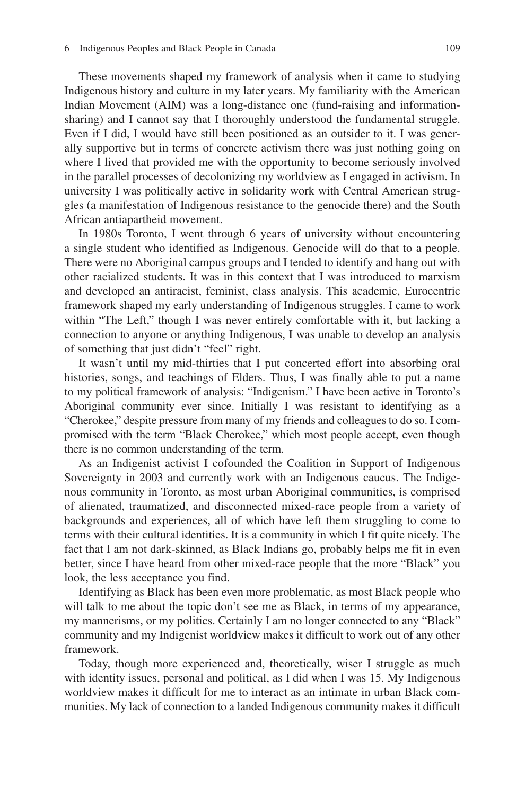These movements shaped my framework of analysis when it came to studying Indigenous history and culture in my later years. My familiarity with the American Indian Movement (AIM) was a long-distance one (fund-raising and informationsharing) and I cannot say that I thoroughly understood the fundamental struggle. Even if I did, I would have still been positioned as an outsider to it. I was generally supportive but in terms of concrete activism there was just nothing going on where I lived that provided me with the opportunity to become seriously involved in the parallel processes of decolonizing my worldview as I engaged in activism. In university I was politically active in solidarity work with Central American struggles (a manifestation of Indigenous resistance to the genocide there) and the South African antiapartheid movement.

In 1980s Toronto, I went through 6 years of university without encountering a single student who identified as Indigenous. Genocide will do that to a people. There were no Aboriginal campus groups and I tended to identify and hang out with other racialized students. It was in this context that I was introduced to marxism and developed an antiracist, feminist, class analysis. This academic, Eurocentric framework shaped my early understanding of Indigenous struggles. I came to work within "The Left," though I was never entirely comfortable with it, but lacking a connection to anyone or anything Indigenous, I was unable to develop an analysis of something that just didn't "feel" right.

It wasn't until my mid-thirties that I put concerted effort into absorbing oral histories, songs, and teachings of Elders. Thus, I was finally able to put a name to my political framework of analysis: "Indigenism." I have been active in Toronto's Aboriginal community ever since. Initially I was resistant to identifying as a "Cherokee," despite pressure from many of my friends and colleagues to do so. I compromised with the term "Black Cherokee," which most people accept, even though there is no common understanding of the term.

As an Indigenist activist I cofounded the Coalition in Support of Indigenous Sovereignty in 2003 and currently work with an Indigenous caucus. The Indigenous community in Toronto, as most urban Aboriginal communities, is comprised of alienated, traumatized, and disconnected mixed-race people from a variety of backgrounds and experiences, all of which have left them struggling to come to terms with their cultural identities. It is a community in which I fit quite nicely. The fact that I am not dark-skinned, as Black Indians go, probably helps me fit in even better, since I have heard from other mixed-race people that the more "Black" you look, the less acceptance you find.

Identifying as Black has been even more problematic, as most Black people who will talk to me about the topic don't see me as Black, in terms of my appearance, my mannerisms, or my politics. Certainly I am no longer connected to any "Black" community and my Indigenist worldview makes it difficult to work out of any other framework.

Today, though more experienced and, theoretically, wiser I struggle as much with identity issues, personal and political, as I did when I was 15. My Indigenous worldview makes it difficult for me to interact as an intimate in urban Black communities. My lack of connection to a landed Indigenous community makes it difficult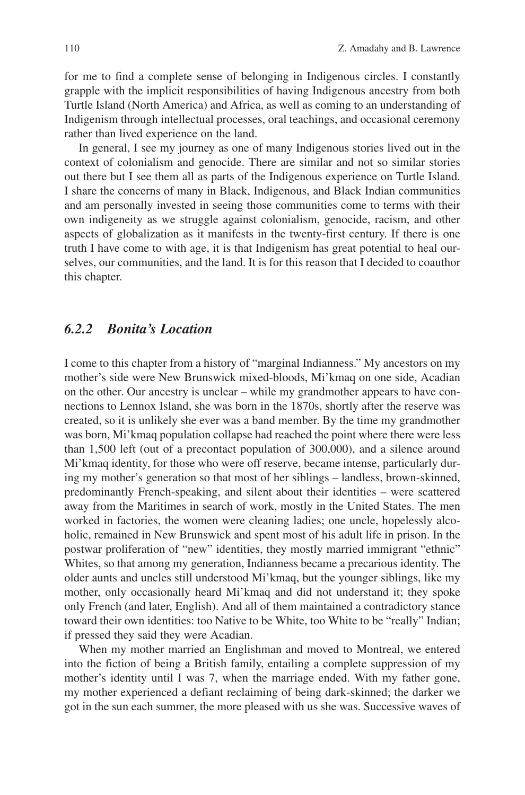for me to find a complete sense of belonging in Indigenous circles. I constantly grapple with the implicit responsibilities of having Indigenous ancestry from both Turtle Island (North America) and Africa, as well as coming to an understanding of Indigenism through intellectual processes, oral teachings, and occasional ceremony rather than lived experience on the land.

In general, I see my journey as one of many Indigenous stories lived out in the context of colonialism and genocide. There are similar and not so similar stories out there but I see them all as parts of the Indigenous experience on Turtle Island. I share the concerns of many in Black, Indigenous, and Black Indian communities and am personally invested in seeing those communities come to terms with their own indigeneity as we struggle against colonialism, genocide, racism, and other aspects of globalization as it manifests in the twenty-first century. If there is one truth I have come to with age, it is that Indigenism has great potential to heal ourselves, our communities, and the land. It is for this reason that I decided to coauthor this chapter.

#### *6.2.2 Bonita's Location*

I come to this chapter from a history of "marginal Indianness." My ancestors on my mother's side were New Brunswick mixed-bloods, Mi'kmaq on one side, Acadian on the other. Our ancestry is unclear – while my grandmother appears to have connections to Lennox Island, she was born in the 1870s, shortly after the reserve was created, so it is unlikely she ever was a band member. By the time my grandmother was born, Mi'kmaq population collapse had reached the point where there were less than 1,500 left (out of a precontact population of 300,000), and a silence around Mi'kmaq identity, for those who were off reserve, became intense, particularly during my mother's generation so that most of her siblings – landless, brown-skinned, predominantly French-speaking, and silent about their identities – were scattered away from the Maritimes in search of work, mostly in the United States. The men worked in factories, the women were cleaning ladies; one uncle, hopelessly alcoholic, remained in New Brunswick and spent most of his adult life in prison. In the postwar proliferation of "new" identities, they mostly married immigrant "ethnic" Whites, so that among my generation, Indianness became a precarious identity. The older aunts and uncles still understood Mi'kmaq, but the younger siblings, like my mother, only occasionally heard Mi'kmaq and did not understand it; they spoke only French (and later, English). And all of them maintained a contradictory stance toward their own identities: too Native to be White, too White to be "really" Indian; if pressed they said they were Acadian.

When my mother married an Englishman and moved to Montreal, we entered into the fiction of being a British family, entailing a complete suppression of my mother's identity until I was 7, when the marriage ended. With my father gone, my mother experienced a defiant reclaiming of being dark-skinned; the darker we got in the sun each summer, the more pleased with us she was. Successive waves of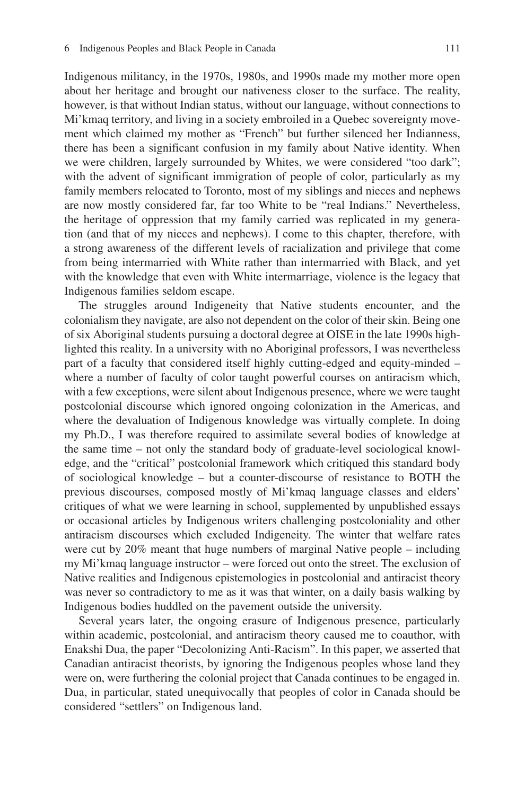Indigenous militancy, in the 1970s, 1980s, and 1990s made my mother more open about her heritage and brought our nativeness closer to the surface. The reality, however, is that without Indian status, without our language, without connections to Mi'kmaq territory, and living in a society embroiled in a Quebec sovereignty movement which claimed my mother as "French" but further silenced her Indianness, there has been a significant confusion in my family about Native identity. When we were children, largely surrounded by Whites, we were considered "too dark"; with the advent of significant immigration of people of color, particularly as my family members relocated to Toronto, most of my siblings and nieces and nephews are now mostly considered far, far too White to be "real Indians." Nevertheless, the heritage of oppression that my family carried was replicated in my generation (and that of my nieces and nephews). I come to this chapter, therefore, with a strong awareness of the different levels of racialization and privilege that come from being intermarried with White rather than intermarried with Black, and yet with the knowledge that even with White intermarriage, violence is the legacy that Indigenous families seldom escape.

The struggles around Indigeneity that Native students encounter, and the colonialism they navigate, are also not dependent on the color of their skin. Being one of six Aboriginal students pursuing a doctoral degree at OISE in the late 1990s highlighted this reality. In a university with no Aboriginal professors, I was nevertheless part of a faculty that considered itself highly cutting-edged and equity-minded – where a number of faculty of color taught powerful courses on antiracism which, with a few exceptions, were silent about Indigenous presence, where we were taught postcolonial discourse which ignored ongoing colonization in the Americas, and where the devaluation of Indigenous knowledge was virtually complete. In doing my Ph.D., I was therefore required to assimilate several bodies of knowledge at the same time – not only the standard body of graduate-level sociological knowledge, and the "critical" postcolonial framework which critiqued this standard body of sociological knowledge – but a counter-discourse of resistance to BOTH the previous discourses, composed mostly of Mi'kmaq language classes and elders' critiques of what we were learning in school, supplemented by unpublished essays or occasional articles by Indigenous writers challenging postcoloniality and other antiracism discourses which excluded Indigeneity. The winter that welfare rates were cut by 20% meant that huge numbers of marginal Native people – including my Mi'kmaq language instructor – were forced out onto the street. The exclusion of Native realities and Indigenous epistemologies in postcolonial and antiracist theory was never so contradictory to me as it was that winter, on a daily basis walking by Indigenous bodies huddled on the pavement outside the university.

Several years later, the ongoing erasure of Indigenous presence, particularly within academic, postcolonial, and antiracism theory caused me to coauthor, with Enakshi Dua, the paper "Decolonizing Anti-Racism". In this paper, we asserted that Canadian antiracist theorists, by ignoring the Indigenous peoples whose land they were on, were furthering the colonial project that Canada continues to be engaged in. Dua, in particular, stated unequivocally that peoples of color in Canada should be considered "settlers" on Indigenous land.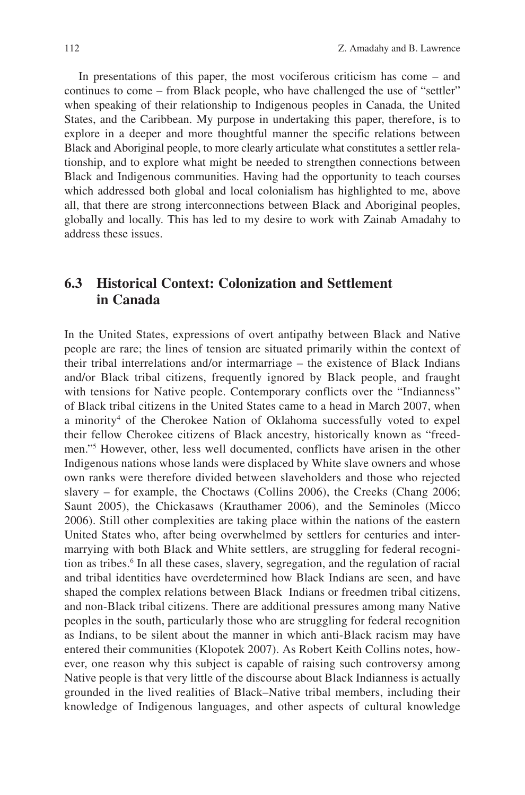In presentations of this paper, the most vociferous criticism has come – and continues to come – from Black people, who have challenged the use of "settler" when speaking of their relationship to Indigenous peoples in Canada, the United States, and the Caribbean. My purpose in undertaking this paper, therefore, is to explore in a deeper and more thoughtful manner the specific relations between Black and Aboriginal people, to more clearly articulate what constitutes a settler relationship, and to explore what might be needed to strengthen connections between Black and Indigenous communities. Having had the opportunity to teach courses which addressed both global and local colonialism has highlighted to me, above all, that there are strong interconnections between Black and Aboriginal peoples, globally and locally. This has led to my desire to work with Zainab Amadahy to address these issues.

# **6.3 Historical Context: Colonization and Settlement in Canada**

In the United States, expressions of overt antipathy between Black and Native people are rare; the lines of tension are situated primarily within the context of their tribal interrelations and/or intermarriage – the existence of Black Indians and/or Black tribal citizens, frequently ignored by Black people, and fraught with tensions for Native people. Contemporary conflicts over the "Indianness" of Black tribal citizens in the United States came to a head in March 2007, when a minority<sup>4</sup> of the Cherokee Nation of Oklahoma successfully voted to expel their fellow Cherokee citizens of Black ancestry, historically known as "freedmen."5 However, other, less well documented, conflicts have arisen in the other Indigenous nations whose lands were displaced by White slave owners and whose own ranks were therefore divided between slaveholders and those who rejected slavery – for example, the Choctaws (Collins 2006), the Creeks (Chang 2006; Saunt 2005), the Chickasaws (Krauthamer 2006), and the Seminoles (Micco 2006). Still other complexities are taking place within the nations of the eastern United States who, after being overwhelmed by settlers for centuries and intermarrying with both Black and White settlers, are struggling for federal recognition as tribes.<sup>6</sup> In all these cases, slavery, segregation, and the regulation of racial and tribal identities have overdetermined how Black Indians are seen, and have shaped the complex relations between Black Indians or freedmen tribal citizens, and non-Black tribal citizens. There are additional pressures among many Native peoples in the south, particularly those who are struggling for federal recognition as Indians, to be silent about the manner in which anti-Black racism may have entered their communities (Klopotek 2007). As Robert Keith Collins notes, however, one reason why this subject is capable of raising such controversy among Native people is that very little of the discourse about Black Indianness is actually grounded in the lived realities of Black–Native tribal members, including their knowledge of Indigenous languages, and other aspects of cultural knowledge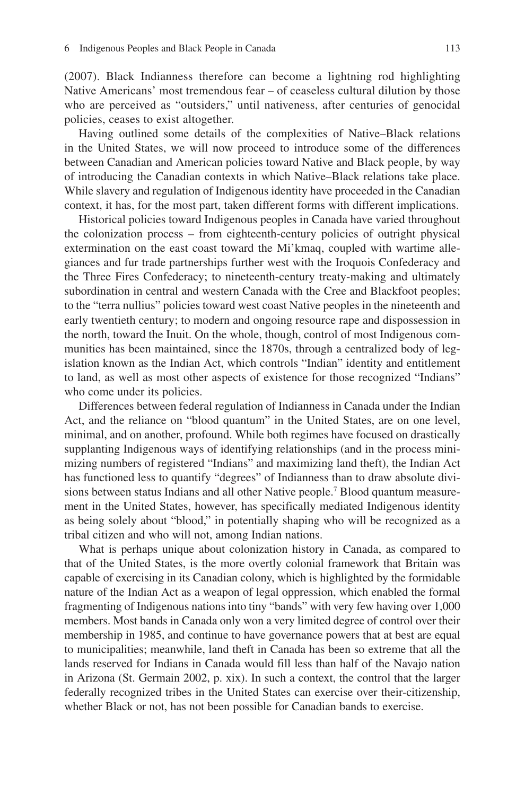(2007). Black Indianness therefore can become a lightning rod highlighting Native Americans' most tremendous fear – of ceaseless cultural dilution by those who are perceived as "outsiders," until nativeness, after centuries of genocidal policies, ceases to exist altogether.

Having outlined some details of the complexities of Native–Black relations in the United States, we will now proceed to introduce some of the differences between Canadian and American policies toward Native and Black people, by way of introducing the Canadian contexts in which Native–Black relations take place. While slavery and regulation of Indigenous identity have proceeded in the Canadian context, it has, for the most part, taken different forms with different implications.

Historical policies toward Indigenous peoples in Canada have varied throughout the colonization process – from eighteenth-century policies of outright physical extermination on the east coast toward the Mi'kmaq, coupled with wartime allegiances and fur trade partnerships further west with the Iroquois Confederacy and the Three Fires Confederacy; to nineteenth-century treaty-making and ultimately subordination in central and western Canada with the Cree and Blackfoot peoples; to the "terra nullius" policies toward west coast Native peoples in the nineteenth and early twentieth century; to modern and ongoing resource rape and dispossession in the north, toward the Inuit. On the whole, though, control of most Indigenous communities has been maintained, since the 1870s, through a centralized body of legislation known as the Indian Act, which controls "Indian" identity and entitlement to land, as well as most other aspects of existence for those recognized "Indians" who come under its policies.

Differences between federal regulation of Indianness in Canada under the Indian Act, and the reliance on "blood quantum" in the United States, are on one level, minimal, and on another, profound. While both regimes have focused on drastically supplanting Indigenous ways of identifying relationships (and in the process minimizing numbers of registered "Indians" and maximizing land theft), the Indian Act has functioned less to quantify "degrees" of Indianness than to draw absolute divisions between status Indians and all other Native people.7 Blood quantum measurement in the United States, however, has specifically mediated Indigenous identity as being solely about "blood," in potentially shaping who will be recognized as a tribal citizen and who will not, among Indian nations.

What is perhaps unique about colonization history in Canada, as compared to that of the United States, is the more overtly colonial framework that Britain was capable of exercising in its Canadian colony, which is highlighted by the formidable nature of the Indian Act as a weapon of legal oppression, which enabled the formal fragmenting of Indigenous nations into tiny "bands" with very few having over 1,000 members. Most bands in Canada only won a very limited degree of control over their membership in 1985, and continue to have governance powers that at best are equal to municipalities; meanwhile, land theft in Canada has been so extreme that all the lands reserved for Indians in Canada would fill less than half of the Navajo nation in Arizona (St. Germain 2002, p. xix). In such a context, the control that the larger federally recognized tribes in the United States can exercise over their-citizenship, whether Black or not, has not been possible for Canadian bands to exercise.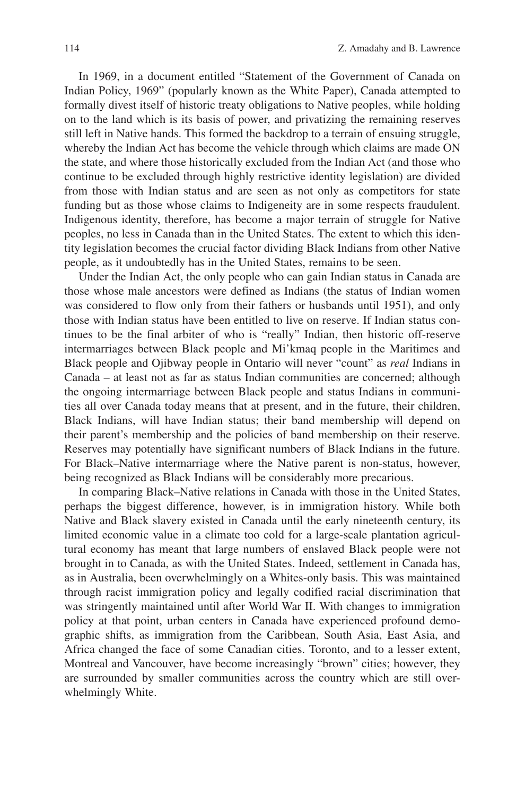In 1969, in a document entitled "Statement of the Government of Canada on Indian Policy, 1969" (popularly known as the White Paper), Canada attempted to formally divest itself of historic treaty obligations to Native peoples, while holding on to the land which is its basis of power, and privatizing the remaining reserves still left in Native hands. This formed the backdrop to a terrain of ensuing struggle, whereby the Indian Act has become the vehicle through which claims are made ON the state, and where those historically excluded from the Indian Act (and those who continue to be excluded through highly restrictive identity legislation) are divided from those with Indian status and are seen as not only as competitors for state funding but as those whose claims to Indigeneity are in some respects fraudulent. Indigenous identity, therefore, has become a major terrain of struggle for Native peoples, no less in Canada than in the United States. The extent to which this identity legislation becomes the crucial factor dividing Black Indians from other Native people, as it undoubtedly has in the United States, remains to be seen.

Under the Indian Act, the only people who can gain Indian status in Canada are those whose male ancestors were defined as Indians (the status of Indian women was considered to flow only from their fathers or husbands until 1951), and only those with Indian status have been entitled to live on reserve. If Indian status continues to be the final arbiter of who is "really" Indian, then historic off-reserve intermarriages between Black people and Mi'kmaq people in the Maritimes and Black people and Ojibway people in Ontario will never "count" as *real* Indians in Canada – at least not as far as status Indian communities are concerned; although the ongoing intermarriage between Black people and status Indians in communities all over Canada today means that at present, and in the future, their children, Black Indians, will have Indian status; their band membership will depend on their parent's membership and the policies of band membership on their reserve. Reserves may potentially have significant numbers of Black Indians in the future. For Black–Native intermarriage where the Native parent is non-status, however, being recognized as Black Indians will be considerably more precarious.

In comparing Black–Native relations in Canada with those in the United States, perhaps the biggest difference, however, is in immigration history. While both Native and Black slavery existed in Canada until the early nineteenth century, its limited economic value in a climate too cold for a large-scale plantation agricultural economy has meant that large numbers of enslaved Black people were not brought in to Canada, as with the United States. Indeed, settlement in Canada has, as in Australia, been overwhelmingly on a Whites-only basis. This was maintained through racist immigration policy and legally codified racial discrimination that was stringently maintained until after World War II. With changes to immigration policy at that point, urban centers in Canada have experienced profound demographic shifts, as immigration from the Caribbean, South Asia, East Asia, and Africa changed the face of some Canadian cities. Toronto, and to a lesser extent, Montreal and Vancouver, have become increasingly "brown" cities; however, they are surrounded by smaller communities across the country which are still overwhelmingly White.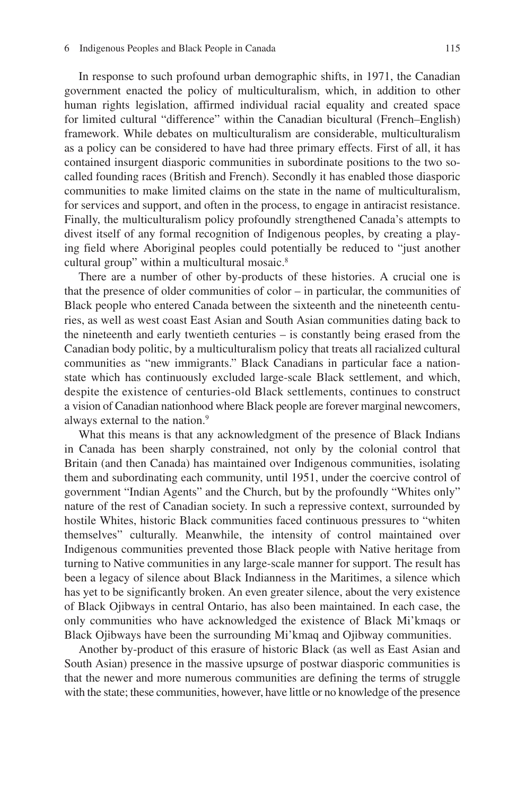In response to such profound urban demographic shifts, in 1971, the Canadian government enacted the policy of multiculturalism, which, in addition to other human rights legislation, affirmed individual racial equality and created space for limited cultural "difference" within the Canadian bicultural (French–English) framework. While debates on multiculturalism are considerable, multiculturalism as a policy can be considered to have had three primary effects. First of all, it has contained insurgent diasporic communities in subordinate positions to the two socalled founding races (British and French). Secondly it has enabled those diasporic communities to make limited claims on the state in the name of multiculturalism, for services and support, and often in the process, to engage in antiracist resistance. Finally, the multiculturalism policy profoundly strengthened Canada's attempts to divest itself of any formal recognition of Indigenous peoples, by creating a playing field where Aboriginal peoples could potentially be reduced to "just another cultural group" within a multicultural mosaic.8

There are a number of other by-products of these histories. A crucial one is that the presence of older communities of color – in particular, the communities of Black people who entered Canada between the sixteenth and the nineteenth centuries, as well as west coast East Asian and South Asian communities dating back to the nineteenth and early twentieth centuries – is constantly being erased from the Canadian body politic, by a multiculturalism policy that treats all racialized cultural communities as "new immigrants." Black Canadians in particular face a nationstate which has continuously excluded large-scale Black settlement, and which, despite the existence of centuries-old Black settlements, continues to construct a vision of Canadian nationhood where Black people are forever marginal newcomers, always external to the nation.<sup>9</sup>

What this means is that any acknowledgment of the presence of Black Indians in Canada has been sharply constrained, not only by the colonial control that Britain (and then Canada) has maintained over Indigenous communities, isolating them and subordinating each community, until 1951, under the coercive control of government "Indian Agents" and the Church, but by the profoundly "Whites only" nature of the rest of Canadian society. In such a repressive context, surrounded by hostile Whites, historic Black communities faced continuous pressures to "whiten themselves" culturally. Meanwhile, the intensity of control maintained over Indigenous communities prevented those Black people with Native heritage from turning to Native communities in any large-scale manner for support. The result has been a legacy of silence about Black Indianness in the Maritimes, a silence which has yet to be significantly broken. An even greater silence, about the very existence of Black Ojibways in central Ontario, has also been maintained. In each case, the only communities who have acknowledged the existence of Black Mi'kmaqs or Black Ojibways have been the surrounding Mi'kmaq and Ojibway communities.

Another by-product of this erasure of historic Black (as well as East Asian and South Asian) presence in the massive upsurge of postwar diasporic communities is that the newer and more numerous communities are defining the terms of struggle with the state; these communities, however, have little or no knowledge of the presence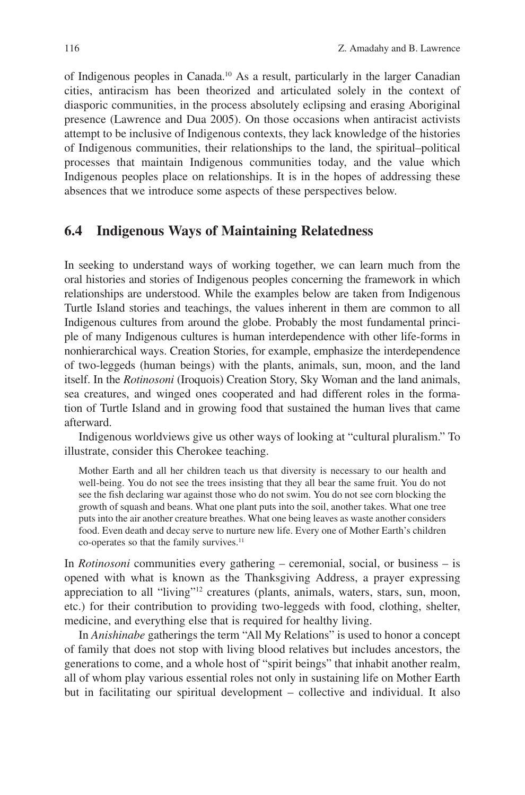of Indigenous peoples in Canada.10 As a result, particularly in the larger Canadian cities, antiracism has been theorized and articulated solely in the context of diasporic communities, in the process absolutely eclipsing and erasing Aboriginal presence (Lawrence and Dua 2005). On those occasions when antiracist activists attempt to be inclusive of Indigenous contexts, they lack knowledge of the histories of Indigenous communities, their relationships to the land, the spiritual–political processes that maintain Indigenous communities today, and the value which Indigenous peoples place on relationships. It is in the hopes of addressing these absences that we introduce some aspects of these perspectives below.

### **6.4 Indigenous Ways of Maintaining Relatedness**

In seeking to understand ways of working together, we can learn much from the oral histories and stories of Indigenous peoples concerning the framework in which relationships are understood. While the examples below are taken from Indigenous Turtle Island stories and teachings, the values inherent in them are common to all Indigenous cultures from around the globe. Probably the most fundamental principle of many Indigenous cultures is human interdependence with other life-forms in nonhierarchical ways. Creation Stories, for example, emphasize the interdependence of two-leggeds (human beings) with the plants, animals, sun, moon, and the land itself. In the *Rotinosoni* (Iroquois) Creation Story, Sky Woman and the land animals, sea creatures, and winged ones cooperated and had different roles in the formation of Turtle Island and in growing food that sustained the human lives that came afterward.

Indigenous worldviews give us other ways of looking at "cultural pluralism." To illustrate, consider this Cherokee teaching.

Mother Earth and all her children teach us that diversity is necessary to our health and well-being. You do not see the trees insisting that they all bear the same fruit. You do not see the fish declaring war against those who do not swim. You do not see corn blocking the growth of squash and beans. What one plant puts into the soil, another takes. What one tree puts into the air another creature breathes. What one being leaves as waste another considers food. Even death and decay serve to nurture new life. Every one of Mother Earth's children co-operates so that the family survives.11

In *Rotinosoni* communities every gathering – ceremonial, social, or business – is opened with what is known as the Thanksgiving Address, a prayer expressing appreciation to all "living"12 creatures (plants, animals, waters, stars, sun, moon, etc.) for their contribution to providing two-leggeds with food, clothing, shelter, medicine, and everything else that is required for healthy living.

In *Anishinabe* gatherings the term "All My Relations" is used to honor a concept of family that does not stop with living blood relatives but includes ancestors, the generations to come, and a whole host of "spirit beings" that inhabit another realm, all of whom play various essential roles not only in sustaining life on Mother Earth but in facilitating our spiritual development – collective and individual. It also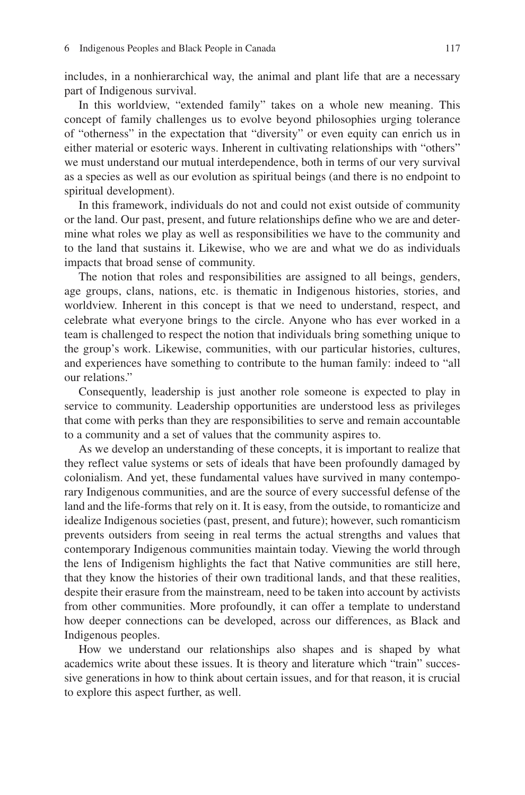includes, in a nonhierarchical way, the animal and plant life that are a necessary part of Indigenous survival.

In this worldview, "extended family" takes on a whole new meaning. This concept of family challenges us to evolve beyond philosophies urging tolerance of "otherness" in the expectation that "diversity" or even equity can enrich us in either material or esoteric ways. Inherent in cultivating relationships with "others" we must understand our mutual interdependence, both in terms of our very survival as a species as well as our evolution as spiritual beings (and there is no endpoint to spiritual development).

In this framework, individuals do not and could not exist outside of community or the land. Our past, present, and future relationships define who we are and determine what roles we play as well as responsibilities we have to the community and to the land that sustains it. Likewise, who we are and what we do as individuals impacts that broad sense of community.

The notion that roles and responsibilities are assigned to all beings, genders, age groups, clans, nations, etc. is thematic in Indigenous histories, stories, and worldview. Inherent in this concept is that we need to understand, respect, and celebrate what everyone brings to the circle. Anyone who has ever worked in a team is challenged to respect the notion that individuals bring something unique to the group's work. Likewise, communities, with our particular histories, cultures, and experiences have something to contribute to the human family: indeed to "all our relations."

Consequently, leadership is just another role someone is expected to play in service to community. Leadership opportunities are understood less as privileges that come with perks than they are responsibilities to serve and remain accountable to a community and a set of values that the community aspires to.

As we develop an understanding of these concepts, it is important to realize that they reflect value systems or sets of ideals that have been profoundly damaged by colonialism. And yet, these fundamental values have survived in many contemporary Indigenous communities, and are the source of every successful defense of the land and the life-forms that rely on it. It is easy, from the outside, to romanticize and idealize Indigenous societies (past, present, and future); however, such romanticism prevents outsiders from seeing in real terms the actual strengths and values that contemporary Indigenous communities maintain today. Viewing the world through the lens of Indigenism highlights the fact that Native communities are still here, that they know the histories of their own traditional lands, and that these realities, despite their erasure from the mainstream, need to be taken into account by activists from other communities. More profoundly, it can offer a template to understand how deeper connections can be developed, across our differences, as Black and Indigenous peoples.

How we understand our relationships also shapes and is shaped by what academics write about these issues. It is theory and literature which "train" successive generations in how to think about certain issues, and for that reason, it is crucial to explore this aspect further, as well.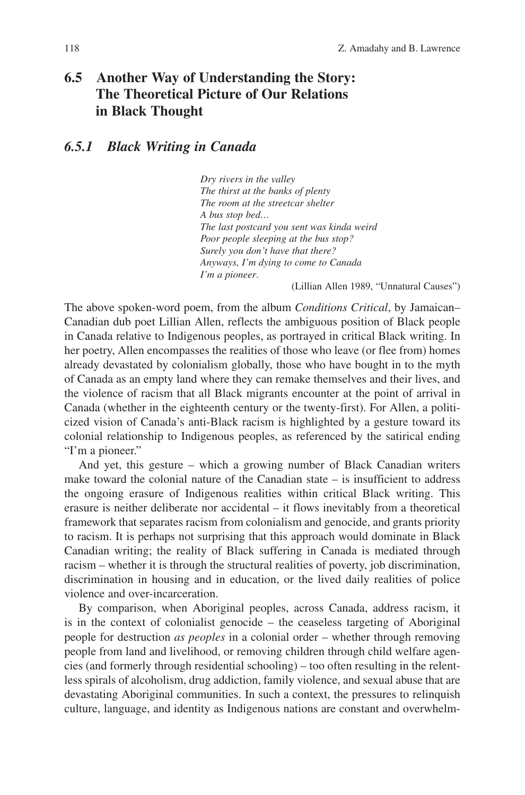# **6.5 Another Way of Understanding the Story: The Theoretical Picture of Our Relations in Black Thought**

#### *6.5.1 Black Writing in Canada*

*Dry rivers in the valley The thirst at the banks of plenty The room at the streetcar shelter A bus stop bed… The last postcard you sent was kinda weird Poor people sleeping at the bus stop? Surely you don't have that there? Anyways, I'm dying to come to Canada I'm a pioneer*.

(Lillian Allen 1989, "Unnatural Causes")

The above spoken-word poem, from the album *Conditions Critical*, by Jamaican– Canadian dub poet Lillian Allen, reflects the ambiguous position of Black people in Canada relative to Indigenous peoples, as portrayed in critical Black writing. In her poetry, Allen encompasses the realities of those who leave (or flee from) homes already devastated by colonialism globally, those who have bought in to the myth of Canada as an empty land where they can remake themselves and their lives, and the violence of racism that all Black migrants encounter at the point of arrival in Canada (whether in the eighteenth century or the twenty-first). For Allen, a politicized vision of Canada's anti-Black racism is highlighted by a gesture toward its colonial relationship to Indigenous peoples, as referenced by the satirical ending "I'm a pioneer."

And yet, this gesture – which a growing number of Black Canadian writers make toward the colonial nature of the Canadian state  $-$  is insufficient to address the ongoing erasure of Indigenous realities within critical Black writing. This erasure is neither deliberate nor accidental – it flows inevitably from a theoretical framework that separates racism from colonialism and genocide, and grants priority to racism. It is perhaps not surprising that this approach would dominate in Black Canadian writing; the reality of Black suffering in Canada is mediated through racism – whether it is through the structural realities of poverty, job discrimination, discrimination in housing and in education, or the lived daily realities of police violence and over-incarceration.

By comparison, when Aboriginal peoples, across Canada, address racism, it is in the context of colonialist genocide – the ceaseless targeting of Aboriginal people for destruction *as peoples* in a colonial order – whether through removing people from land and livelihood, or removing children through child welfare agencies (and formerly through residential schooling) – too often resulting in the relentless spirals of alcoholism, drug addiction, family violence, and sexual abuse that are devastating Aboriginal communities. In such a context, the pressures to relinquish culture, language, and identity as Indigenous nations are constant and overwhelm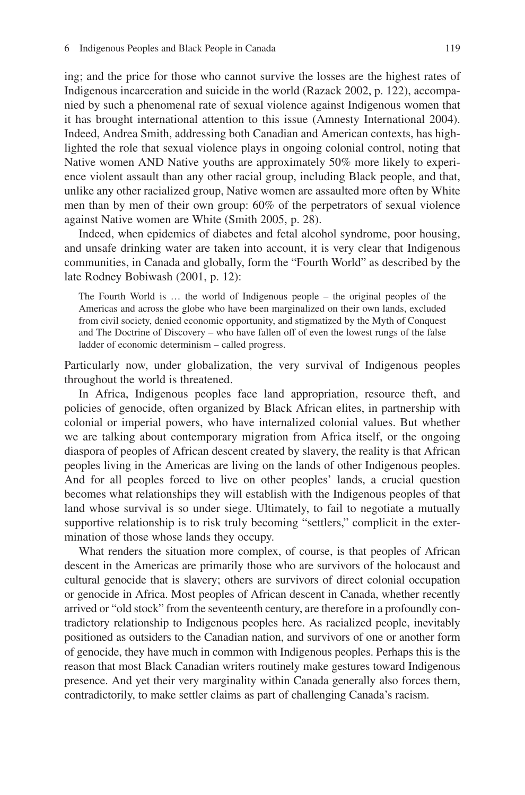ing; and the price for those who cannot survive the losses are the highest rates of Indigenous incarceration and suicide in the world (Razack 2002, p. 122), accompanied by such a phenomenal rate of sexual violence against Indigenous women that it has brought international attention to this issue (Amnesty International 2004). Indeed, Andrea Smith, addressing both Canadian and American contexts, has highlighted the role that sexual violence plays in ongoing colonial control, noting that Native women AND Native youths are approximately 50% more likely to experience violent assault than any other racial group, including Black people, and that, unlike any other racialized group, Native women are assaulted more often by White men than by men of their own group: 60% of the perpetrators of sexual violence against Native women are White (Smith 2005, p. 28).

Indeed, when epidemics of diabetes and fetal alcohol syndrome, poor housing, and unsafe drinking water are taken into account, it is very clear that Indigenous communities, in Canada and globally, form the "Fourth World" as described by the late Rodney Bobiwash (2001, p. 12):

The Fourth World is … the world of Indigenous people – the original peoples of the Americas and across the globe who have been marginalized on their own lands, excluded from civil society, denied economic opportunity, and stigmatized by the Myth of Conquest and The Doctrine of Discovery – who have fallen off of even the lowest rungs of the false ladder of economic determinism – called progress.

Particularly now, under globalization, the very survival of Indigenous peoples throughout the world is threatened.

In Africa, Indigenous peoples face land appropriation, resource theft, and policies of genocide, often organized by Black African elites, in partnership with colonial or imperial powers, who have internalized colonial values. But whether we are talking about contemporary migration from Africa itself, or the ongoing diaspora of peoples of African descent created by slavery, the reality is that African peoples living in the Americas are living on the lands of other Indigenous peoples. And for all peoples forced to live on other peoples' lands, a crucial question becomes what relationships they will establish with the Indigenous peoples of that land whose survival is so under siege. Ultimately, to fail to negotiate a mutually supportive relationship is to risk truly becoming "settlers," complicit in the extermination of those whose lands they occupy.

What renders the situation more complex, of course, is that peoples of African descent in the Americas are primarily those who are survivors of the holocaust and cultural genocide that is slavery; others are survivors of direct colonial occupation or genocide in Africa. Most peoples of African descent in Canada, whether recently arrived or "old stock" from the seventeenth century, are therefore in a profoundly contradictory relationship to Indigenous peoples here. As racialized people, inevitably positioned as outsiders to the Canadian nation, and survivors of one or another form of genocide, they have much in common with Indigenous peoples. Perhaps this is the reason that most Black Canadian writers routinely make gestures toward Indigenous presence. And yet their very marginality within Canada generally also forces them, contradictorily, to make settler claims as part of challenging Canada's racism.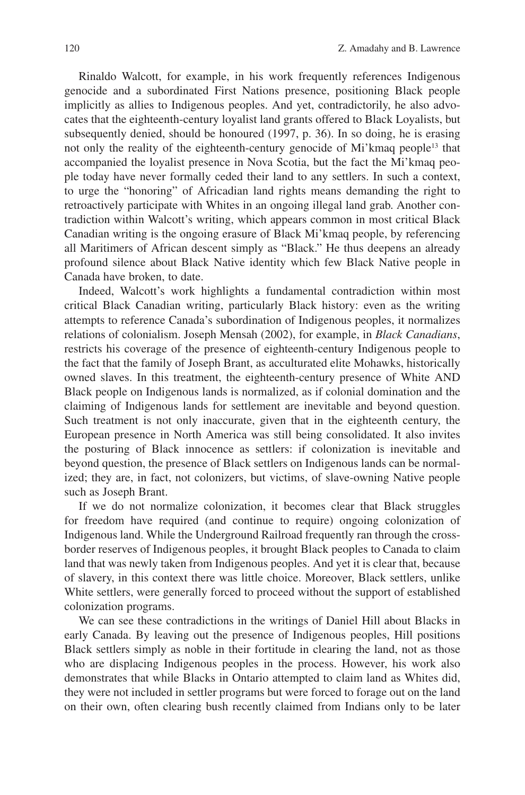Rinaldo Walcott, for example, in his work frequently references Indigenous genocide and a subordinated First Nations presence, positioning Black people implicitly as allies to Indigenous peoples. And yet, contradictorily, he also advocates that the eighteenth-century loyalist land grants offered to Black Loyalists, but subsequently denied, should be honoured (1997, p. 36). In so doing, he is erasing not only the reality of the eighteenth-century genocide of Mi'kmaq people<sup>13</sup> that accompanied the loyalist presence in Nova Scotia, but the fact the Mi'kmaq people today have never formally ceded their land to any settlers. In such a context, to urge the "honoring" of Africadian land rights means demanding the right to retroactively participate with Whites in an ongoing illegal land grab. Another contradiction within Walcott's writing, which appears common in most critical Black Canadian writing is the ongoing erasure of Black Mi'kmaq people, by referencing all Maritimers of African descent simply as "Black." He thus deepens an already profound silence about Black Native identity which few Black Native people in Canada have broken, to date.

Indeed, Walcott's work highlights a fundamental contradiction within most critical Black Canadian writing, particularly Black history: even as the writing attempts to reference Canada's subordination of Indigenous peoples, it normalizes relations of colonialism. Joseph Mensah (2002), for example, in *Black Canadians*, restricts his coverage of the presence of eighteenth-century Indigenous people to the fact that the family of Joseph Brant, as acculturated elite Mohawks, historically owned slaves. In this treatment, the eighteenth-century presence of White AND Black people on Indigenous lands is normalized, as if colonial domination and the claiming of Indigenous lands for settlement are inevitable and beyond question. Such treatment is not only inaccurate, given that in the eighteenth century, the European presence in North America was still being consolidated. It also invites the posturing of Black innocence as settlers: if colonization is inevitable and beyond question, the presence of Black settlers on Indigenous lands can be normalized; they are, in fact, not colonizers, but victims, of slave-owning Native people such as Joseph Brant.

If we do not normalize colonization, it becomes clear that Black struggles for freedom have required (and continue to require) ongoing colonization of Indigenous land. While the Underground Railroad frequently ran through the crossborder reserves of Indigenous peoples, it brought Black peoples to Canada to claim land that was newly taken from Indigenous peoples. And yet it is clear that, because of slavery, in this context there was little choice. Moreover, Black settlers, unlike White settlers, were generally forced to proceed without the support of established colonization programs.

We can see these contradictions in the writings of Daniel Hill about Blacks in early Canada. By leaving out the presence of Indigenous peoples, Hill positions Black settlers simply as noble in their fortitude in clearing the land, not as those who are displacing Indigenous peoples in the process. However, his work also demonstrates that while Blacks in Ontario attempted to claim land as Whites did, they were not included in settler programs but were forced to forage out on the land on their own, often clearing bush recently claimed from Indians only to be later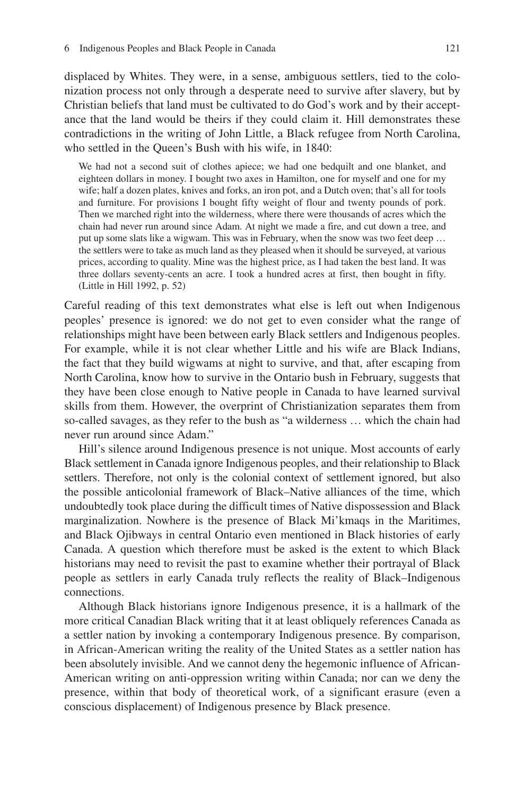displaced by Whites. They were, in a sense, ambiguous settlers, tied to the colonization process not only through a desperate need to survive after slavery, but by Christian beliefs that land must be cultivated to do God's work and by their acceptance that the land would be theirs if they could claim it. Hill demonstrates these contradictions in the writing of John Little, a Black refugee from North Carolina, who settled in the Queen's Bush with his wife, in 1840:

We had not a second suit of clothes apiece; we had one bedquilt and one blanket, and eighteen dollars in money. I bought two axes in Hamilton, one for myself and one for my wife; half a dozen plates, knives and forks, an iron pot, and a Dutch oven; that's all for tools and furniture. For provisions I bought fifty weight of flour and twenty pounds of pork. Then we marched right into the wilderness, where there were thousands of acres which the chain had never run around since Adam. At night we made a fire, and cut down a tree, and put up some slats like a wigwam. This was in February, when the snow was two feet deep … the settlers were to take as much land as they pleased when it should be surveyed, at various prices, according to quality. Mine was the highest price, as I had taken the best land. It was three dollars seventy-cents an acre. I took a hundred acres at first, then bought in fifty. (Little in Hill 1992, p. 52)

Careful reading of this text demonstrates what else is left out when Indigenous peoples' presence is ignored: we do not get to even consider what the range of relationships might have been between early Black settlers and Indigenous peoples. For example, while it is not clear whether Little and his wife are Black Indians, the fact that they build wigwams at night to survive, and that, after escaping from North Carolina, know how to survive in the Ontario bush in February, suggests that they have been close enough to Native people in Canada to have learned survival skills from them. However, the overprint of Christianization separates them from so-called savages, as they refer to the bush as "a wilderness … which the chain had never run around since Adam."

Hill's silence around Indigenous presence is not unique. Most accounts of early Black settlement in Canada ignore Indigenous peoples, and their relationship to Black settlers. Therefore, not only is the colonial context of settlement ignored, but also the possible anticolonial framework of Black–Native alliances of the time, which undoubtedly took place during the difficult times of Native dispossession and Black marginalization. Nowhere is the presence of Black Mi'kmaqs in the Maritimes, and Black Ojibways in central Ontario even mentioned in Black histories of early Canada. A question which therefore must be asked is the extent to which Black historians may need to revisit the past to examine whether their portrayal of Black people as settlers in early Canada truly reflects the reality of Black–Indigenous connections.

Although Black historians ignore Indigenous presence, it is a hallmark of the more critical Canadian Black writing that it at least obliquely references Canada as a settler nation by invoking a contemporary Indigenous presence. By comparison, in African-American writing the reality of the United States as a settler nation has been absolutely invisible. And we cannot deny the hegemonic influence of African-American writing on anti-oppression writing within Canada; nor can we deny the presence, within that body of theoretical work, of a significant erasure (even a conscious displacement) of Indigenous presence by Black presence.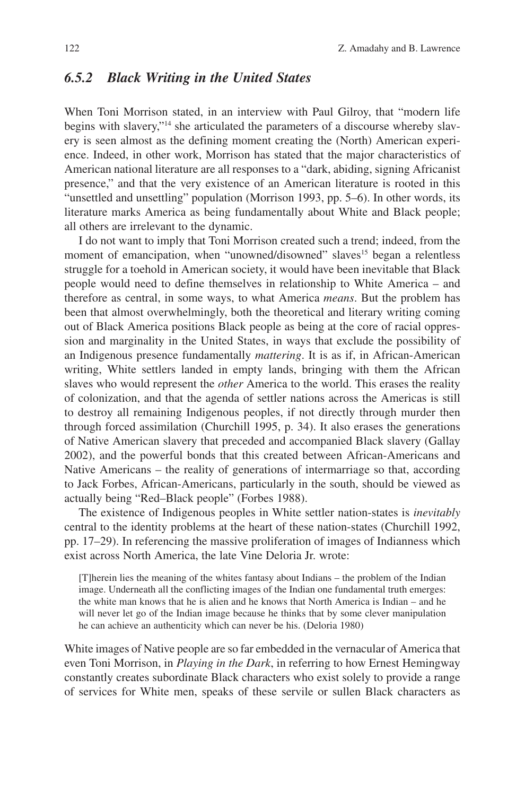#### *6.5.2 Black Writing in the United States*

When Toni Morrison stated, in an interview with Paul Gilroy, that "modern life begins with slavery,"14 she articulated the parameters of a discourse whereby slavery is seen almost as the defining moment creating the (North) American experience. Indeed, in other work, Morrison has stated that the major characteristics of American national literature are all responses to a "dark, abiding, signing Africanist presence," and that the very existence of an American literature is rooted in this "unsettled and unsettling" population (Morrison 1993, pp. 5–6). In other words, its literature marks America as being fundamentally about White and Black people; all others are irrelevant to the dynamic.

I do not want to imply that Toni Morrison created such a trend; indeed, from the moment of emancipation, when "unowned/disowned" slaves<sup>15</sup> began a relentless struggle for a toehold in American society, it would have been inevitable that Black people would need to define themselves in relationship to White America – and therefore as central, in some ways, to what America *means*. But the problem has been that almost overwhelmingly, both the theoretical and literary writing coming out of Black America positions Black people as being at the core of racial oppression and marginality in the United States, in ways that exclude the possibility of an Indigenous presence fundamentally *mattering*. It is as if, in African-American writing, White settlers landed in empty lands, bringing with them the African slaves who would represent the *other* America to the world. This erases the reality of colonization, and that the agenda of settler nations across the Americas is still to destroy all remaining Indigenous peoples, if not directly through murder then through forced assimilation (Churchill 1995, p. 34). It also erases the generations of Native American slavery that preceded and accompanied Black slavery (Gallay 2002), and the powerful bonds that this created between African-Americans and Native Americans – the reality of generations of intermarriage so that, according to Jack Forbes, African-Americans, particularly in the south, should be viewed as actually being "Red–Black people" (Forbes 1988).

The existence of Indigenous peoples in White settler nation-states is *inevitably* central to the identity problems at the heart of these nation-states (Churchill 1992, pp. 17–29). In referencing the massive proliferation of images of Indianness which exist across North America, the late Vine Deloria Jr. wrote:

[T]herein lies the meaning of the whites fantasy about Indians – the problem of the Indian image. Underneath all the conflicting images of the Indian one fundamental truth emerges: the white man knows that he is alien and he knows that North America is Indian – and he will never let go of the Indian image because he thinks that by some clever manipulation he can achieve an authenticity which can never be his. (Deloria 1980)

White images of Native people are so far embedded in the vernacular of America that even Toni Morrison, in *Playing in the Dark*, in referring to how Ernest Hemingway constantly creates subordinate Black characters who exist solely to provide a range of services for White men, speaks of these servile or sullen Black characters as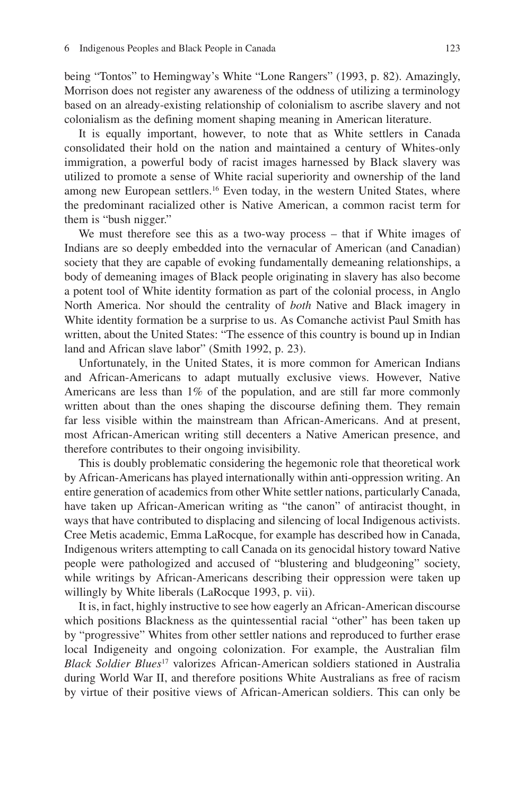being "Tontos" to Hemingway's White "Lone Rangers" (1993, p. 82). Amazingly, Morrison does not register any awareness of the oddness of utilizing a terminology based on an already-existing relationship of colonialism to ascribe slavery and not colonialism as the defining moment shaping meaning in American literature.

It is equally important, however, to note that as White settlers in Canada consolidated their hold on the nation and maintained a century of Whites-only immigration, a powerful body of racist images harnessed by Black slavery was utilized to promote a sense of White racial superiority and ownership of the land among new European settlers.<sup>16</sup> Even today, in the western United States, where the predominant racialized other is Native American, a common racist term for them is "bush nigger."

We must therefore see this as a two-way process – that if White images of Indians are so deeply embedded into the vernacular of American (and Canadian) society that they are capable of evoking fundamentally demeaning relationships, a body of demeaning images of Black people originating in slavery has also become a potent tool of White identity formation as part of the colonial process, in Anglo North America. Nor should the centrality of *both* Native and Black imagery in White identity formation be a surprise to us. As Comanche activist Paul Smith has written, about the United States: "The essence of this country is bound up in Indian land and African slave labor" (Smith 1992, p. 23).

Unfortunately, in the United States, it is more common for American Indians and African-Americans to adapt mutually exclusive views. However, Native Americans are less than 1% of the population, and are still far more commonly written about than the ones shaping the discourse defining them. They remain far less visible within the mainstream than African-Americans. And at present, most African-American writing still decenters a Native American presence, and therefore contributes to their ongoing invisibility.

This is doubly problematic considering the hegemonic role that theoretical work by African-Americans has played internationally within anti-oppression writing. An entire generation of academics from other White settler nations, particularly Canada, have taken up African-American writing as "the canon" of antiracist thought, in ways that have contributed to displacing and silencing of local Indigenous activists. Cree Metis academic, Emma LaRocque, for example has described how in Canada, Indigenous writers attempting to call Canada on its genocidal history toward Native people were pathologized and accused of "blustering and bludgeoning" society, while writings by African-Americans describing their oppression were taken up willingly by White liberals (LaRocque 1993, p. vii).

It is, in fact, highly instructive to see how eagerly an African-American discourse which positions Blackness as the quintessential racial "other" has been taken up by "progressive" Whites from other settler nations and reproduced to further erase local Indigeneity and ongoing colonization. For example, the Australian film *Black Soldier Blues*17 valorizes African-American soldiers stationed in Australia during World War II, and therefore positions White Australians as free of racism by virtue of their positive views of African-American soldiers. This can only be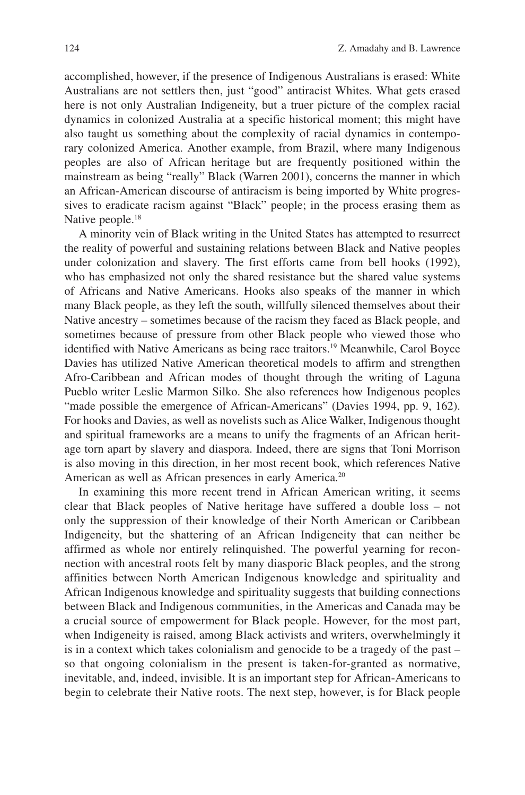accomplished, however, if the presence of Indigenous Australians is erased: White Australians are not settlers then, just "good" antiracist Whites. What gets erased here is not only Australian Indigeneity, but a truer picture of the complex racial dynamics in colonized Australia at a specific historical moment; this might have also taught us something about the complexity of racial dynamics in contemporary colonized America. Another example, from Brazil, where many Indigenous peoples are also of African heritage but are frequently positioned within the mainstream as being "really" Black (Warren 2001), concerns the manner in which an African-American discourse of antiracism is being imported by White progressives to eradicate racism against "Black" people; in the process erasing them as Native people.<sup>18</sup>

A minority vein of Black writing in the United States has attempted to resurrect the reality of powerful and sustaining relations between Black and Native peoples under colonization and slavery. The first efforts came from bell hooks (1992), who has emphasized not only the shared resistance but the shared value systems of Africans and Native Americans. Hooks also speaks of the manner in which many Black people, as they left the south, willfully silenced themselves about their Native ancestry – sometimes because of the racism they faced as Black people, and sometimes because of pressure from other Black people who viewed those who identified with Native Americans as being race traitors.19 Meanwhile, Carol Boyce Davies has utilized Native American theoretical models to affirm and strengthen Afro-Caribbean and African modes of thought through the writing of Laguna Pueblo writer Leslie Marmon Silko. She also references how Indigenous peoples "made possible the emergence of African-Americans" (Davies 1994, pp. 9, 162). For hooks and Davies, as well as novelists such as Alice Walker, Indigenous thought and spiritual frameworks are a means to unify the fragments of an African heritage torn apart by slavery and diaspora. Indeed, there are signs that Toni Morrison is also moving in this direction, in her most recent book, which references Native American as well as African presences in early America.<sup>20</sup>

In examining this more recent trend in African American writing, it seems clear that Black peoples of Native heritage have suffered a double loss – not only the suppression of their knowledge of their North American or Caribbean Indigeneity, but the shattering of an African Indigeneity that can neither be affirmed as whole nor entirely relinquished. The powerful yearning for reconnection with ancestral roots felt by many diasporic Black peoples, and the strong affinities between North American Indigenous knowledge and spirituality and African Indigenous knowledge and spirituality suggests that building connections between Black and Indigenous communities, in the Americas and Canada may be a crucial source of empowerment for Black people. However, for the most part, when Indigeneity is raised, among Black activists and writers, overwhelmingly it is in a context which takes colonialism and genocide to be a tragedy of the past – so that ongoing colonialism in the present is taken-for-granted as normative, inevitable, and, indeed, invisible. It is an important step for African-Americans to begin to celebrate their Native roots. The next step, however, is for Black people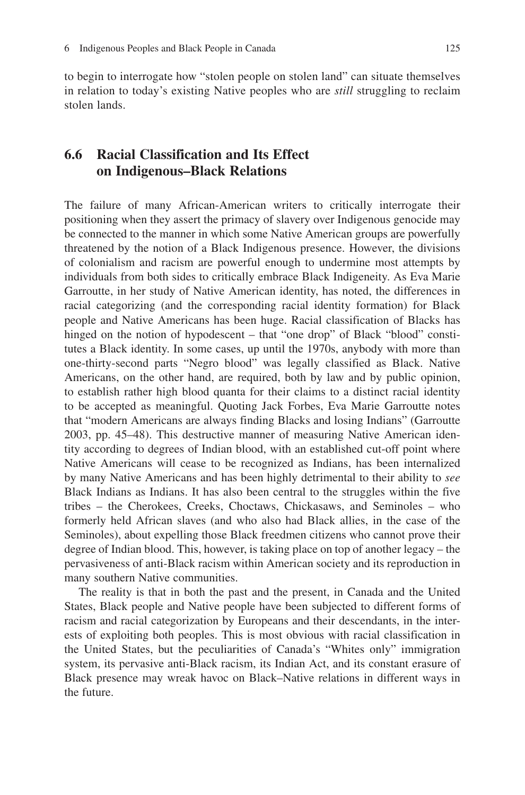to begin to interrogate how "stolen people on stolen land" can situate themselves in relation to today's existing Native peoples who are *still* struggling to reclaim stolen lands.

## **6.6 Racial Classification and Its Effect on Indigenous–Black Relations**

The failure of many African-American writers to critically interrogate their positioning when they assert the primacy of slavery over Indigenous genocide may be connected to the manner in which some Native American groups are powerfully threatened by the notion of a Black Indigenous presence. However, the divisions of colonialism and racism are powerful enough to undermine most attempts by individuals from both sides to critically embrace Black Indigeneity. As Eva Marie Garroutte, in her study of Native American identity, has noted, the differences in racial categorizing (and the corresponding racial identity formation) for Black people and Native Americans has been huge. Racial classification of Blacks has hinged on the notion of hypodescent – that "one drop" of Black "blood" constitutes a Black identity. In some cases, up until the 1970s, anybody with more than one-thirty-second parts "Negro blood" was legally classified as Black. Native Americans, on the other hand, are required, both by law and by public opinion, to establish rather high blood quanta for their claims to a distinct racial identity to be accepted as meaningful. Quoting Jack Forbes, Eva Marie Garroutte notes that "modern Americans are always finding Blacks and losing Indians" (Garroutte 2003, pp. 45–48). This destructive manner of measuring Native American identity according to degrees of Indian blood, with an established cut-off point where Native Americans will cease to be recognized as Indians, has been internalized by many Native Americans and has been highly detrimental to their ability to *see* Black Indians as Indians. It has also been central to the struggles within the five tribes – the Cherokees, Creeks, Choctaws, Chickasaws, and Seminoles – who formerly held African slaves (and who also had Black allies, in the case of the Seminoles), about expelling those Black freedmen citizens who cannot prove their degree of Indian blood. This, however, is taking place on top of another legacy – the pervasiveness of anti-Black racism within American society and its reproduction in many southern Native communities.

The reality is that in both the past and the present, in Canada and the United States, Black people and Native people have been subjected to different forms of racism and racial categorization by Europeans and their descendants, in the interests of exploiting both peoples. This is most obvious with racial classification in the United States, but the peculiarities of Canada's "Whites only" immigration system, its pervasive anti-Black racism, its Indian Act, and its constant erasure of Black presence may wreak havoc on Black–Native relations in different ways in the future.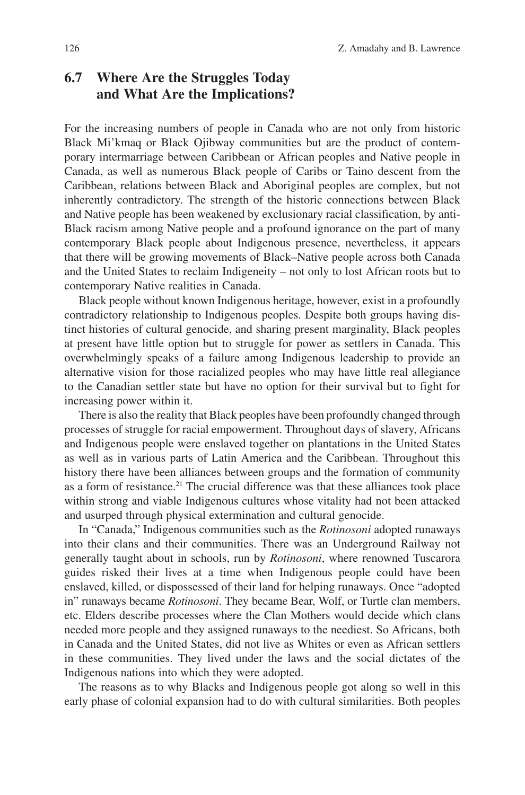# **6.7 Where Are the Struggles Today and What Are the Implications?**

For the increasing numbers of people in Canada who are not only from historic Black Mi'kmaq or Black Ojibway communities but are the product of contemporary intermarriage between Caribbean or African peoples and Native people in Canada, as well as numerous Black people of Caribs or Taino descent from the Caribbean, relations between Black and Aboriginal peoples are complex, but not inherently contradictory. The strength of the historic connections between Black and Native people has been weakened by exclusionary racial classification, by anti-Black racism among Native people and a profound ignorance on the part of many contemporary Black people about Indigenous presence, nevertheless, it appears that there will be growing movements of Black–Native people across both Canada and the United States to reclaim Indigeneity – not only to lost African roots but to contemporary Native realities in Canada.

Black people without known Indigenous heritage, however, exist in a profoundly contradictory relationship to Indigenous peoples. Despite both groups having distinct histories of cultural genocide, and sharing present marginality, Black peoples at present have little option but to struggle for power as settlers in Canada. This overwhelmingly speaks of a failure among Indigenous leadership to provide an alternative vision for those racialized peoples who may have little real allegiance to the Canadian settler state but have no option for their survival but to fight for increasing power within it.

There is also the reality that Black peoples have been profoundly changed through processes of struggle for racial empowerment. Throughout days of slavery, Africans and Indigenous people were enslaved together on plantations in the United States as well as in various parts of Latin America and the Caribbean. Throughout this history there have been alliances between groups and the formation of community as a form of resistance.<sup>21</sup> The crucial difference was that these alliances took place within strong and viable Indigenous cultures whose vitality had not been attacked and usurped through physical extermination and cultural genocide.

In "Canada," Indigenous communities such as the *Rotinosoni* adopted runaways into their clans and their communities. There was an Underground Railway not generally taught about in schools, run by *Rotinosoni*, where renowned Tuscarora guides risked their lives at a time when Indigenous people could have been enslaved, killed, or dispossessed of their land for helping runaways. Once "adopted in" runaways became *Rotinosoni*. They became Bear, Wolf, or Turtle clan members, etc. Elders describe processes where the Clan Mothers would decide which clans needed more people and they assigned runaways to the neediest. So Africans, both in Canada and the United States, did not live as Whites or even as African settlers in these communities. They lived under the laws and the social dictates of the Indigenous nations into which they were adopted.

The reasons as to why Blacks and Indigenous people got along so well in this early phase of colonial expansion had to do with cultural similarities. Both peoples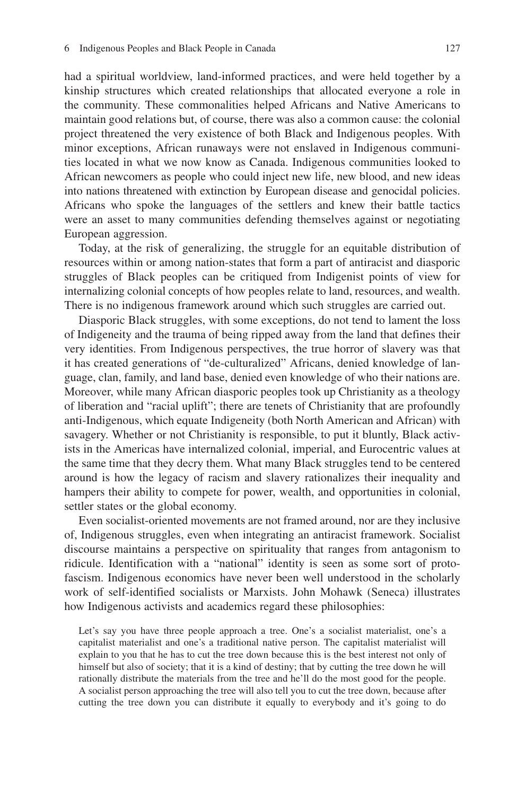had a spiritual worldview, land-informed practices, and were held together by a kinship structures which created relationships that allocated everyone a role in the community. These commonalities helped Africans and Native Americans to maintain good relations but, of course, there was also a common cause: the colonial project threatened the very existence of both Black and Indigenous peoples. With minor exceptions, African runaways were not enslaved in Indigenous communities located in what we now know as Canada. Indigenous communities looked to African newcomers as people who could inject new life, new blood, and new ideas into nations threatened with extinction by European disease and genocidal policies. Africans who spoke the languages of the settlers and knew their battle tactics were an asset to many communities defending themselves against or negotiating European aggression.

Today, at the risk of generalizing, the struggle for an equitable distribution of resources within or among nation-states that form a part of antiracist and diasporic struggles of Black peoples can be critiqued from Indigenist points of view for internalizing colonial concepts of how peoples relate to land, resources, and wealth. There is no indigenous framework around which such struggles are carried out.

Diasporic Black struggles, with some exceptions, do not tend to lament the loss of Indigeneity and the trauma of being ripped away from the land that defines their very identities. From Indigenous perspectives, the true horror of slavery was that it has created generations of "de-culturalized" Africans, denied knowledge of language, clan, family, and land base, denied even knowledge of who their nations are. Moreover, while many African diasporic peoples took up Christianity as a theology of liberation and "racial uplift"; there are tenets of Christianity that are profoundly anti-Indigenous, which equate Indigeneity (both North American and African) with savagery. Whether or not Christianity is responsible, to put it bluntly, Black activists in the Americas have internalized colonial, imperial, and Eurocentric values at the same time that they decry them. What many Black struggles tend to be centered around is how the legacy of racism and slavery rationalizes their inequality and hampers their ability to compete for power, wealth, and opportunities in colonial, settler states or the global economy.

Even socialist-oriented movements are not framed around, nor are they inclusive of, Indigenous struggles, even when integrating an antiracist framework. Socialist discourse maintains a perspective on spirituality that ranges from antagonism to ridicule. Identification with a "national" identity is seen as some sort of protofascism. Indigenous economics have never been well understood in the scholarly work of self-identified socialists or Marxists. John Mohawk (Seneca) illustrates how Indigenous activists and academics regard these philosophies:

Let's say you have three people approach a tree. One's a socialist materialist, one's a capitalist materialist and one's a traditional native person. The capitalist materialist will explain to you that he has to cut the tree down because this is the best interest not only of himself but also of society; that it is a kind of destiny; that by cutting the tree down he will rationally distribute the materials from the tree and he'll do the most good for the people. A socialist person approaching the tree will also tell you to cut the tree down, because after cutting the tree down you can distribute it equally to everybody and it's going to do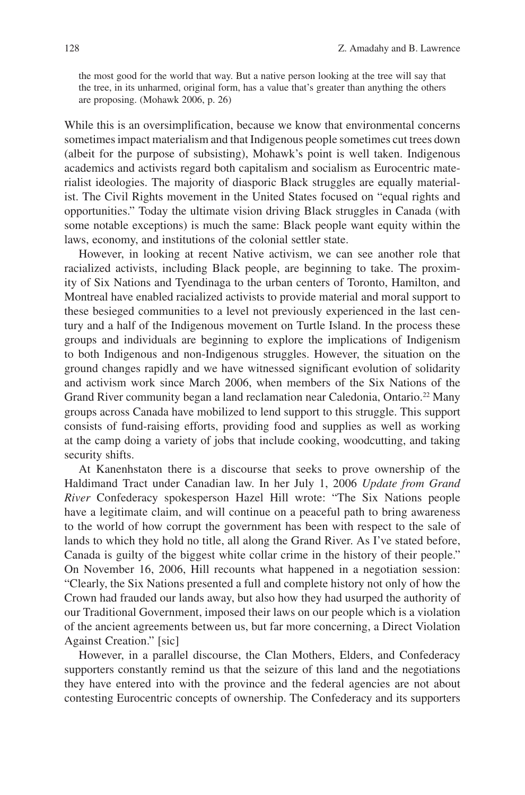the most good for the world that way. But a native person looking at the tree will say that the tree, in its unharmed, original form, has a value that's greater than anything the others are proposing. (Mohawk 2006, p. 26)

While this is an oversimplification, because we know that environmental concerns sometimes impact materialism and that Indigenous people sometimes cut trees down (albeit for the purpose of subsisting), Mohawk's point is well taken. Indigenous academics and activists regard both capitalism and socialism as Eurocentric materialist ideologies. The majority of diasporic Black struggles are equally materialist. The Civil Rights movement in the United States focused on "equal rights and opportunities." Today the ultimate vision driving Black struggles in Canada (with some notable exceptions) is much the same: Black people want equity within the laws, economy, and institutions of the colonial settler state.

However, in looking at recent Native activism, we can see another role that racialized activists, including Black people, are beginning to take. The proximity of Six Nations and Tyendinaga to the urban centers of Toronto, Hamilton, and Montreal have enabled racialized activists to provide material and moral support to these besieged communities to a level not previously experienced in the last century and a half of the Indigenous movement on Turtle Island. In the process these groups and individuals are beginning to explore the implications of Indigenism to both Indigenous and non-Indigenous struggles. However, the situation on the ground changes rapidly and we have witnessed significant evolution of solidarity and activism work since March 2006, when members of the Six Nations of the Grand River community began a land reclamation near Caledonia, Ontario.<sup>22</sup> Many groups across Canada have mobilized to lend support to this struggle. This support consists of fund-raising efforts, providing food and supplies as well as working at the camp doing a variety of jobs that include cooking, woodcutting, and taking security shifts.

At Kanenhstaton there is a discourse that seeks to prove ownership of the Haldimand Tract under Canadian law. In her July 1, 2006 *Update from Grand River* Confederacy spokesperson Hazel Hill wrote: "The Six Nations people have a legitimate claim, and will continue on a peaceful path to bring awareness to the world of how corrupt the government has been with respect to the sale of lands to which they hold no title, all along the Grand River. As I've stated before, Canada is guilty of the biggest white collar crime in the history of their people." On November 16, 2006, Hill recounts what happened in a negotiation session: "Clearly, the Six Nations presented a full and complete history not only of how the Crown had frauded our lands away, but also how they had usurped the authority of our Traditional Government, imposed their laws on our people which is a violation of the ancient agreements between us, but far more concerning, a Direct Violation Against Creation." [sic]

However, in a parallel discourse, the Clan Mothers, Elders, and Confederacy supporters constantly remind us that the seizure of this land and the negotiations they have entered into with the province and the federal agencies are not about contesting Eurocentric concepts of ownership. The Confederacy and its supporters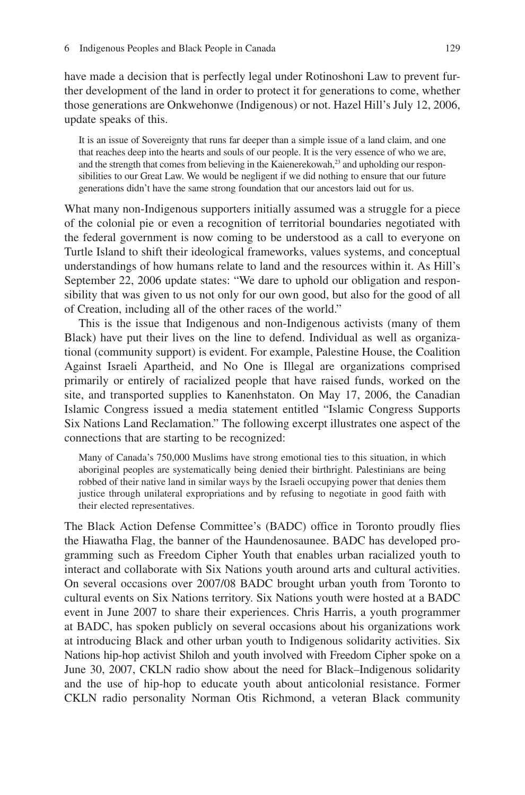have made a decision that is perfectly legal under Rotinoshoni Law to prevent further development of the land in order to protect it for generations to come, whether those generations are Onkwehonwe (Indigenous) or not. Hazel Hill's July 12, 2006, update speaks of this.

It is an issue of Sovereignty that runs far deeper than a simple issue of a land claim, and one that reaches deep into the hearts and souls of our people. It is the very essence of who we are, and the strength that comes from believing in the Kaienerekowah,<sup>23</sup> and upholding our responsibilities to our Great Law. We would be negligent if we did nothing to ensure that our future generations didn't have the same strong foundation that our ancestors laid out for us.

What many non-Indigenous supporters initially assumed was a struggle for a piece of the colonial pie or even a recognition of territorial boundaries negotiated with the federal government is now coming to be understood as a call to everyone on Turtle Island to shift their ideological frameworks, values systems, and conceptual understandings of how humans relate to land and the resources within it. As Hill's September 22, 2006 update states: "We dare to uphold our obligation and responsibility that was given to us not only for our own good, but also for the good of all of Creation, including all of the other races of the world."

This is the issue that Indigenous and non-Indigenous activists (many of them Black) have put their lives on the line to defend. Individual as well as organizational (community support) is evident. For example, Palestine House, the Coalition Against Israeli Apartheid, and No One is Illegal are organizations comprised primarily or entirely of racialized people that have raised funds, worked on the site, and transported supplies to Kanenhstaton. On May 17, 2006, the Canadian Islamic Congress issued a media statement entitled "Islamic Congress Supports Six Nations Land Reclamation." The following excerpt illustrates one aspect of the connections that are starting to be recognized:

Many of Canada's 750,000 Muslims have strong emotional ties to this situation, in which aboriginal peoples are systematically being denied their birthright. Palestinians are being robbed of their native land in similar ways by the Israeli occupying power that denies them justice through unilateral expropriations and by refusing to negotiate in good faith with their elected representatives.

The Black Action Defense Committee's (BADC) office in Toronto proudly flies the Hiawatha Flag, the banner of the Haundenosaunee. BADC has developed programming such as Freedom Cipher Youth that enables urban racialized youth to interact and collaborate with Six Nations youth around arts and cultural activities. On several occasions over 2007/08 BADC brought urban youth from Toronto to cultural events on Six Nations territory. Six Nations youth were hosted at a BADC event in June 2007 to share their experiences. Chris Harris, a youth programmer at BADC, has spoken publicly on several occasions about his organizations work at introducing Black and other urban youth to Indigenous solidarity activities. Six Nations hip-hop activist Shiloh and youth involved with Freedom Cipher spoke on a June 30, 2007, CKLN radio show about the need for Black–Indigenous solidarity and the use of hip-hop to educate youth about anticolonial resistance. Former CKLN radio personality Norman Otis Richmond, a veteran Black community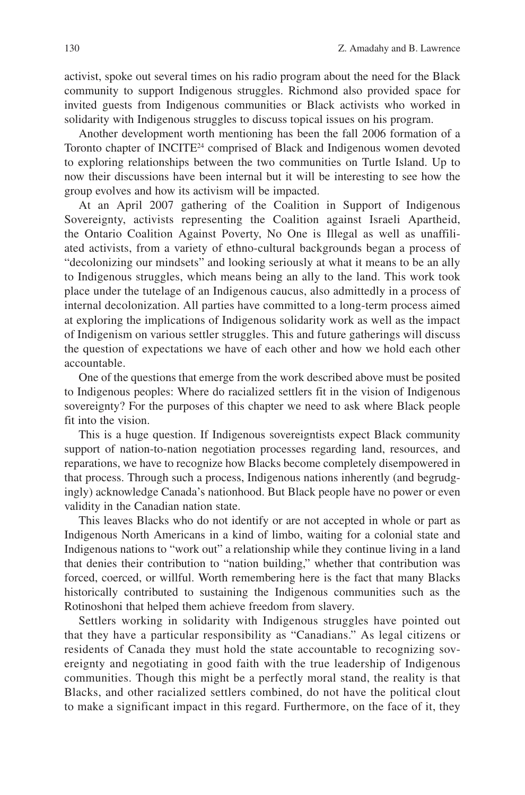activist, spoke out several times on his radio program about the need for the Black community to support Indigenous struggles. Richmond also provided space for invited guests from Indigenous communities or Black activists who worked in solidarity with Indigenous struggles to discuss topical issues on his program.

Another development worth mentioning has been the fall 2006 formation of a Toronto chapter of INCITE24 comprised of Black and Indigenous women devoted to exploring relationships between the two communities on Turtle Island. Up to now their discussions have been internal but it will be interesting to see how the group evolves and how its activism will be impacted.

At an April 2007 gathering of the Coalition in Support of Indigenous Sovereignty, activists representing the Coalition against Israeli Apartheid, the Ontario Coalition Against Poverty, No One is Illegal as well as unaffiliated activists, from a variety of ethno-cultural backgrounds began a process of "decolonizing our mindsets" and looking seriously at what it means to be an ally to Indigenous struggles, which means being an ally to the land. This work took place under the tutelage of an Indigenous caucus, also admittedly in a process of internal decolonization. All parties have committed to a long-term process aimed at exploring the implications of Indigenous solidarity work as well as the impact of Indigenism on various settler struggles. This and future gatherings will discuss the question of expectations we have of each other and how we hold each other accountable.

One of the questions that emerge from the work described above must be posited to Indigenous peoples: Where do racialized settlers fit in the vision of Indigenous sovereignty? For the purposes of this chapter we need to ask where Black people fit into the vision.

This is a huge question. If Indigenous sovereigntists expect Black community support of nation-to-nation negotiation processes regarding land, resources, and reparations, we have to recognize how Blacks become completely disempowered in that process. Through such a process, Indigenous nations inherently (and begrudgingly) acknowledge Canada's nationhood. But Black people have no power or even validity in the Canadian nation state.

This leaves Blacks who do not identify or are not accepted in whole or part as Indigenous North Americans in a kind of limbo, waiting for a colonial state and Indigenous nations to "work out" a relationship while they continue living in a land that denies their contribution to "nation building," whether that contribution was forced, coerced, or willful. Worth remembering here is the fact that many Blacks historically contributed to sustaining the Indigenous communities such as the Rotinoshoni that helped them achieve freedom from slavery.

Settlers working in solidarity with Indigenous struggles have pointed out that they have a particular responsibility as "Canadians." As legal citizens or residents of Canada they must hold the state accountable to recognizing sovereignty and negotiating in good faith with the true leadership of Indigenous communities. Though this might be a perfectly moral stand, the reality is that Blacks, and other racialized settlers combined, do not have the political clout to make a significant impact in this regard. Furthermore, on the face of it, they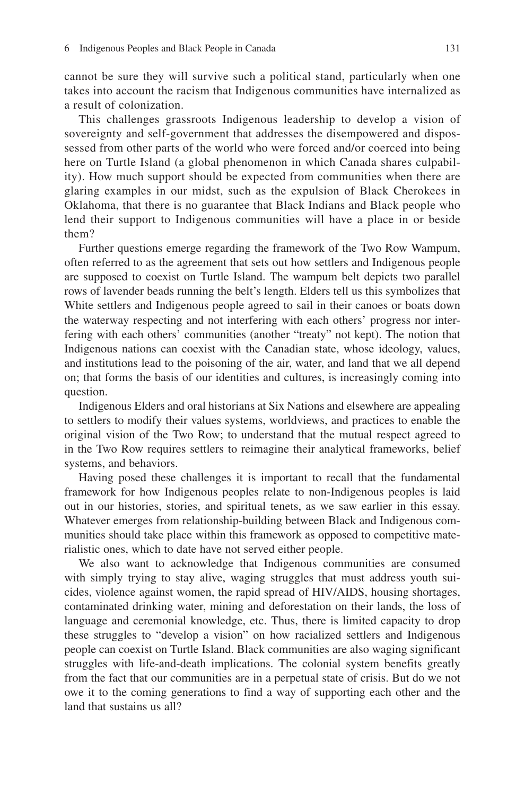cannot be sure they will survive such a political stand, particularly when one takes into account the racism that Indigenous communities have internalized as a result of colonization.

This challenges grassroots Indigenous leadership to develop a vision of sovereignty and self-government that addresses the disempowered and dispossessed from other parts of the world who were forced and/or coerced into being here on Turtle Island (a global phenomenon in which Canada shares culpability). How much support should be expected from communities when there are glaring examples in our midst, such as the expulsion of Black Cherokees in Oklahoma, that there is no guarantee that Black Indians and Black people who lend their support to Indigenous communities will have a place in or beside them?

Further questions emerge regarding the framework of the Two Row Wampum, often referred to as the agreement that sets out how settlers and Indigenous people are supposed to coexist on Turtle Island. The wampum belt depicts two parallel rows of lavender beads running the belt's length. Elders tell us this symbolizes that White settlers and Indigenous people agreed to sail in their canoes or boats down the waterway respecting and not interfering with each others' progress nor interfering with each others' communities (another "treaty" not kept). The notion that Indigenous nations can coexist with the Canadian state, whose ideology, values, and institutions lead to the poisoning of the air, water, and land that we all depend on; that forms the basis of our identities and cultures, is increasingly coming into question.

Indigenous Elders and oral historians at Six Nations and elsewhere are appealing to settlers to modify their values systems, worldviews, and practices to enable the original vision of the Two Row; to understand that the mutual respect agreed to in the Two Row requires settlers to reimagine their analytical frameworks, belief systems, and behaviors.

Having posed these challenges it is important to recall that the fundamental framework for how Indigenous peoples relate to non-Indigenous peoples is laid out in our histories, stories, and spiritual tenets, as we saw earlier in this essay. Whatever emerges from relationship-building between Black and Indigenous communities should take place within this framework as opposed to competitive materialistic ones, which to date have not served either people.

We also want to acknowledge that Indigenous communities are consumed with simply trying to stay alive, waging struggles that must address youth suicides, violence against women, the rapid spread of HIV/AIDS, housing shortages, contaminated drinking water, mining and deforestation on their lands, the loss of language and ceremonial knowledge, etc. Thus, there is limited capacity to drop these struggles to "develop a vision" on how racialized settlers and Indigenous people can coexist on Turtle Island. Black communities are also waging significant struggles with life-and-death implications. The colonial system benefits greatly from the fact that our communities are in a perpetual state of crisis. But do we not owe it to the coming generations to find a way of supporting each other and the land that sustains us all?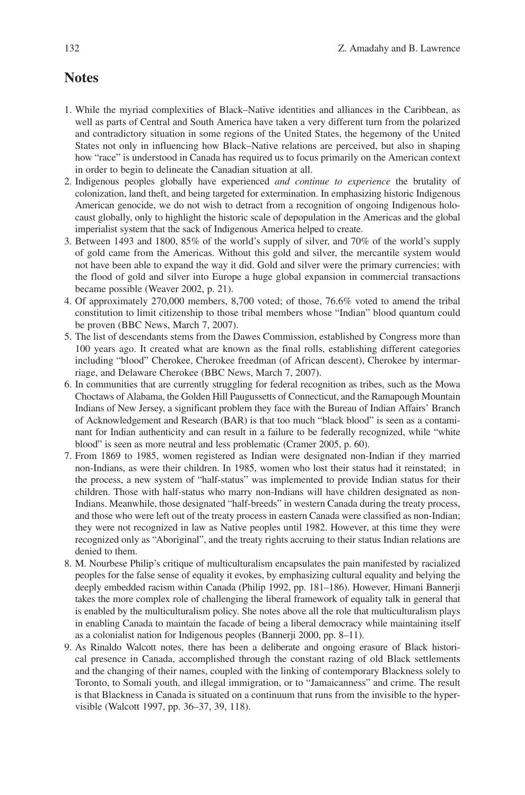### **Notes**

- 1. While the myriad complexities of Black–Native identities and alliances in the Caribbean, as well as parts of Central and South America have taken a very different turn from the polarized and contradictory situation in some regions of the United States, the hegemony of the United States not only in influencing how Black–Native relations are perceived, but also in shaping how "race" is understood in Canada has required us to focus primarily on the American context in order to begin to delineate the Canadian situation at all.
- 2. Indigenous peoples globally have experienced *and continue to experience* the brutality of colonization, land theft, and being targeted for extermination. In emphasizing historic Indigenous American genocide, we do not wish to detract from a recognition of ongoing Indigenous holocaust globally, only to highlight the historic scale of depopulation in the Americas and the global imperialist system that the sack of Indigenous America helped to create.
- 3. Between 1493 and 1800, 85% of the world's supply of silver, and 70% of the world's supply of gold came from the Americas. Without this gold and silver, the mercantile system would not have been able to expand the way it did. Gold and silver were the primary currencies; with the flood of gold and silver into Europe a huge global expansion in commercial transactions became possible (Weaver 2002, p. 21).
- 4. Of approximately 270,000 members, 8,700 voted; of those, 76.6% voted to amend the tribal constitution to limit citizenship to those tribal members whose "Indian" blood quantum could be proven (BBC News, March 7, 2007).
- 5. The list of descendants stems from the Dawes Commission, established by Congress more than 100 years ago. It created what are known as the final rolls, establishing different categories including "blood" Cherokee, Cherokee freedman (of African descent), Cherokee by intermarriage, and Delaware Cherokee (BBC News, March 7, 2007).
- 6. In communities that are currently struggling for federal recognition as tribes, such as the Mowa Choctaws of Alabama, the Golden Hill Paugussetts of Connecticut, and the Ramapough Mountain Indians of New Jersey, a significant problem they face with the Bureau of Indian Affairs' Branch of Acknowledgement and Research (BAR) is that too much "black blood" is seen as a contaminant for Indian authenticity and can result in a failure to be federally recognized, while "white blood" is seen as more neutral and less problematic (Cramer 2005, p. 60).
- 7. From 1869 to 1985, women registered as Indian were designated non-Indian if they married non-Indians, as were their children. In 1985, women who lost their status had it reinstated; in the process, a new system of "half-status" was implemented to provide Indian status for their children. Those with half-status who marry non-Indians will have children designated as non-Indians. Meanwhile, those designated "half-breeds" in western Canada during the treaty process, and those who were left out of the treaty process in eastern Canada were classified as non-Indian; they were not recognized in law as Native peoples until 1982. However, at this time they were recognized only as "Aboriginal", and the treaty rights accruing to their status Indian relations are denied to them.
- 8. M. Nourbese Philip's critique of multiculturalism encapsulates the pain manifested by racialized peoples for the false sense of equality it evokes, by emphasizing cultural equality and belying the deeply embedded racism within Canada (Philip 1992, pp. 181–186). However, Himani Bannerji takes the more complex role of challenging the liberal framework of equality talk in general that is enabled by the multiculturalism policy. She notes above all the role that multiculturalism plays in enabling Canada to maintain the facade of being a liberal democracy while maintaining itself as a colonialist nation for Indigenous peoples (Bannerji 2000, pp. 8–11).
- 9. As Rinaldo Walcott notes, there has been a deliberate and ongoing erasure of Black historical presence in Canada, accomplished through the constant razing of old Black settlements and the changing of their names, coupled with the linking of contemporary Blackness solely to Toronto, to Somali youth, and illegal immigration, or to "Jamaicanness" and crime. The result is that Blackness in Canada is situated on a continuum that runs from the invisible to the hypervisible (Walcott 1997, pp. 36–37, 39, 118).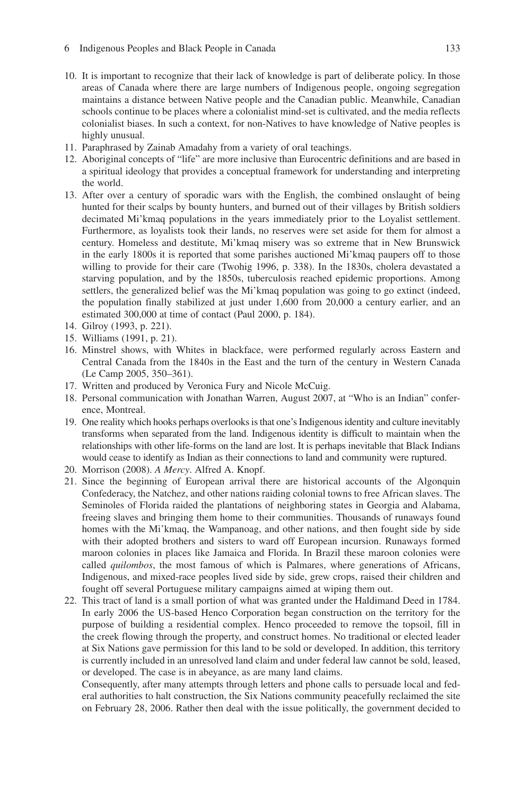- 6 Indigenous Peoples and Black People in Canada 133
- 10. It is important to recognize that their lack of knowledge is part of deliberate policy. In those areas of Canada where there are large numbers of Indigenous people, ongoing segregation maintains a distance between Native people and the Canadian public. Meanwhile, Canadian schools continue to be places where a colonialist mind-set is cultivated, and the media reflects colonialist biases. In such a context, for non-Natives to have knowledge of Native peoples is highly unusual.
- 11. Paraphrased by Zainab Amadahy from a variety of oral teachings.
- 12. Aboriginal concepts of "life" are more inclusive than Eurocentric definitions and are based in a spiritual ideology that provides a conceptual framework for understanding and interpreting the world.
- 13. After over a century of sporadic wars with the English, the combined onslaught of being hunted for their scalps by bounty hunters, and burned out of their villages by British soldiers decimated Mi'kmaq populations in the years immediately prior to the Loyalist settlement. Furthermore, as loyalists took their lands, no reserves were set aside for them for almost a century. Homeless and destitute, Mi'kmaq misery was so extreme that in New Brunswick in the early 1800s it is reported that some parishes auctioned Mi'kmaq paupers off to those willing to provide for their care (Twohig 1996, p. 338). In the 1830s, cholera devastated a starving population, and by the 1850s, tuberculosis reached epidemic proportions. Among settlers, the generalized belief was the Mi'kmaq population was going to go extinct (indeed, the population finally stabilized at just under 1,600 from 20,000 a century earlier, and an estimated 300,000 at time of contact (Paul 2000, p. 184).
- 14. Gilroy (1993, p. 221).
- 15. Williams (1991, p. 21).
- 16. Minstrel shows, with Whites in blackface, were performed regularly across Eastern and Central Canada from the 1840s in the East and the turn of the century in Western Canada (Le Camp 2005, 350–361).
- 17. Written and produced by Veronica Fury and Nicole McCuig.
- 18. Personal communication with Jonathan Warren, August 2007, at "Who is an Indian" conference, Montreal.
- 19. One reality which hooks perhaps overlooks is that one's Indigenous identity and culture inevitably transforms when separated from the land. Indigenous identity is difficult to maintain when the relationships with other life-forms on the land are lost. It is perhaps inevitable that Black Indians would cease to identify as Indian as their connections to land and community were ruptured.
- 20. Morrison (2008). *A Mercy*. Alfred A. Knopf.
- 21. Since the beginning of European arrival there are historical accounts of the Algonquin Confederacy, the Natchez, and other nations raiding colonial towns to free African slaves. The Seminoles of Florida raided the plantations of neighboring states in Georgia and Alabama, freeing slaves and bringing them home to their communities. Thousands of runaways found homes with the Mi'kmaq, the Wampanoag, and other nations, and then fought side by side with their adopted brothers and sisters to ward off European incursion. Runaways formed maroon colonies in places like Jamaica and Florida. In Brazil these maroon colonies were called *quilombos*, the most famous of which is Palmares, where generations of Africans, Indigenous, and mixed-race peoples lived side by side, grew crops, raised their children and fought off several Portuguese military campaigns aimed at wiping them out.
- 22. This tract of land is a small portion of what was granted under the Haldimand Deed in 1784. In early 2006 the US-based Henco Corporation began construction on the territory for the purpose of building a residential complex. Henco proceeded to remove the topsoil, fill in the creek flowing through the property, and construct homes. No traditional or elected leader at Six Nations gave permission for this land to be sold or developed. In addition, this territory is currently included in an unresolved land claim and under federal law cannot be sold, leased, or developed. The case is in abeyance, as are many land claims.

 Consequently, after many attempts through letters and phone calls to persuade local and federal authorities to halt construction, the Six Nations community peacefully reclaimed the site on February 28, 2006. Rather then deal with the issue politically, the government decided to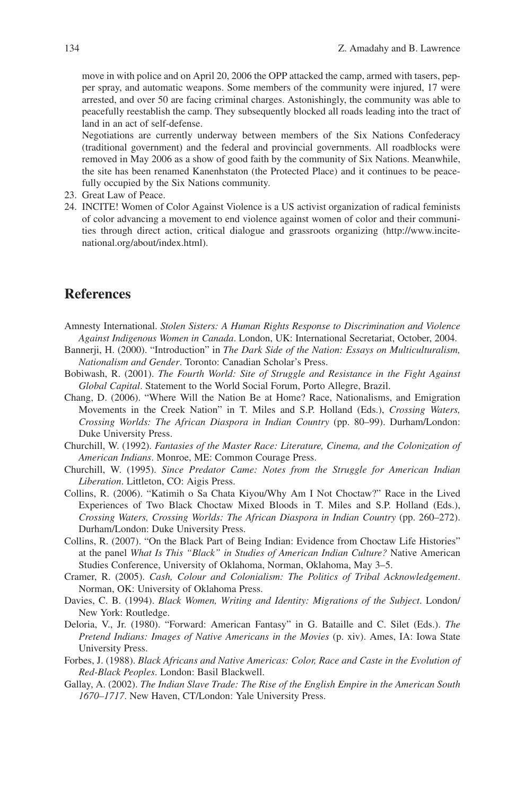move in with police and on April 20, 2006 the OPP attacked the camp, armed with tasers, pepper spray, and automatic weapons. Some members of the community were injured, 17 were arrested, and over 50 are facing criminal charges. Astonishingly, the community was able to peacefully reestablish the camp. They subsequently blocked all roads leading into the tract of land in an act of self-defense.

 Negotiations are currently underway between members of the Six Nations Confederacy ( traditional government) and the federal and provincial governments. All roadblocks were removed in May 2006 as a show of good faith by the community of Six Nations. Meanwhile, the site has been renamed Kanenhstaton (the Protected Place) and it continues to be peacefully occupied by the Six Nations community.

- 23. Great Law of Peace.
- 24. INCITE! Women of Color Against Violence is a US activist organization of radical feminists of color advancing a movement to end violence against women of color and their communities through direct action, critical dialogue and grassroots organizing (http://www.incitenational.org/about/index.html).

### **References**

- Amnesty International. *Stolen Sisters: A Human Rights Response to Discrimination and Violence Against Indigenous Women in Canada*. London, UK: International Secretariat, October, 2004.
- Bannerji, H. (2000). "Introduction" in *The Dark Side of the Nation: Essays on Multiculturalism, Nationalism and Gender*. Toronto: Canadian Scholar's Press.
- Bobiwash, R. (2001). *The Fourth World: Site of Struggle and Resistance in the Fight Against Global Capital*. Statement to the World Social Forum, Porto Allegre, Brazil.
- Chang, D. (2006). "Where Will the Nation Be at Home? Race, Nationalisms, and Emigration Movements in the Creek Nation" in T. Miles and S.P. Holland (Eds.), *Crossing Waters, Crossing Worlds: The African Diaspora in Indian Country* (pp. 80–99). Durham/London: Duke University Press.
- Churchill, W. (1992). *Fantasies of the Master Race: Literature, Cinema, and the Colonization of American Indians*. Monroe, ME: Common Courage Press.
- Churchill, W. (1995). *Since Predator Came: Notes from the Struggle for American Indian Liberation*. Littleton, CO: Aigis Press.
- Collins, R. (2006). "Katimih o Sa Chata Kiyou/Why Am I Not Choctaw?" Race in the Lived Experiences of Two Black Choctaw Mixed Bloods in T. Miles and S.P. Holland (Eds.), *Crossing Waters, Crossing Worlds: The African Diaspora in Indian Country* (pp. 260–272). Durham/London: Duke University Press.
- Collins, R. (2007). "On the Black Part of Being Indian: Evidence from Choctaw Life Histories" at the panel *What Is This "Black" in Studies of American Indian Culture?* Native American Studies Conference, University of Oklahoma, Norman, Oklahoma, May 3–5.
- Cramer, R. (2005). *Cash, Colour and Colonialism: The Politics of Tribal Acknowledgement*. Norman, OK: University of Oklahoma Press.
- Davies, C. B. (1994). *Black Women, Writing and Identity: Migrations of the Subject*. London/ New York: Routledge.
- Deloria, V., Jr. (1980). "Forward: American Fantasy" in G. Bataille and C. Silet (Eds.). *The Pretend Indians: Images of Native Americans in the Movies* (p. xiv). Ames, IA: Iowa State University Press.
- Forbes, J. (1988). *Black Africans and Native Americas: Color, Race and Caste in the Evolution of Red-Black Peoples*. London: Basil Blackwell.
- Gallay, A. (2002). *The Indian Slave Trade: The Rise of the English Empire in the American South 1670–1717*. New Haven, CT/London: Yale University Press.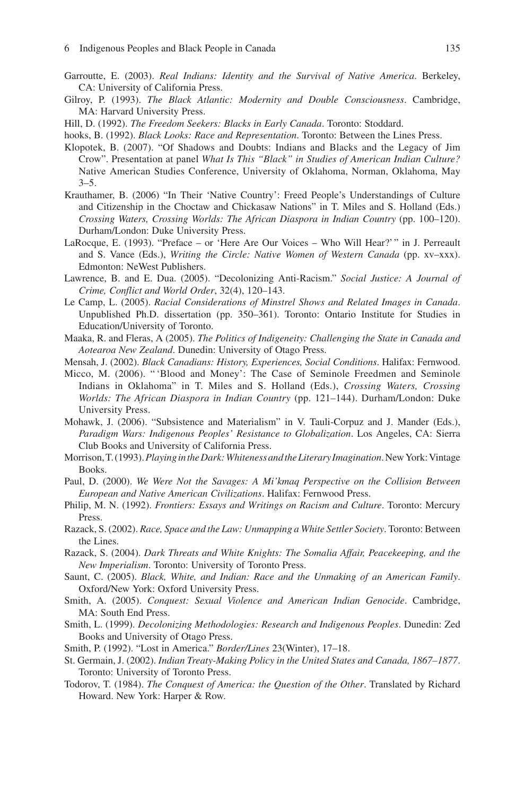- Garroutte, E. (2003). *Real Indians: Identity and the Survival of Native America*. Berkeley, CA: University of California Press.
- Gilroy, P. (1993). *The Black Atlantic: Modernity and Double Consciousness*. Cambridge, MA: Harvard University Press.
- Hill, D. (1992). *The Freedom Seekers: Blacks in Early Canada*. Toronto: Stoddard.
- hooks, B. (1992). *Black Looks: Race and Representation*. Toronto: Between the Lines Press.
- Klopotek, B. (2007). "Of Shadows and Doubts: Indians and Blacks and the Legacy of Jim Crow". Presentation at panel *What Is This "Black" in Studies of American Indian Culture?* Native American Studies Conference, University of Oklahoma, Norman, Oklahoma, May  $3 - 5.$
- Krauthamer, B. (2006) "In Their 'Native Country': Freed People's Understandings of Culture and Citizenship in the Choctaw and Chickasaw Nations" in T. Miles and S. Holland (Eds.) *Crossing Waters, Crossing Worlds: The African Diaspora in Indian Country* (pp. 100–120). Durham/London: Duke University Press.
- LaRocque, E. (1993). "Preface or 'Here Are Our Voices Who Will Hear?' " in J. Perreault and S. Vance (Eds.), *Writing the Circle: Native Women of Western Canada* (pp. xv–xxx). Edmonton: NeWest Publishers.
- Lawrence, B. and E. Dua. (2005). "Decolonizing Anti-Racism." *Social Justice: A Journal of Crime, Conflict and World Order*, 32(4), 120–143.
- Le Camp, L. (2005). *Racial Considerations of Minstrel Shows and Related Images in Canada*. Unpublished Ph.D. dissertation (pp. 350–361). Toronto: Ontario Institute for Studies in Education/University of Toronto.
- Maaka, R. and Fleras, A (2005). *The Politics of Indigeneity: Challenging the State in Canada and Aotearoa New Zealand*. Dunedin: University of Otago Press.
- Mensah, J. (2002). *Black Canadians: History, Experiences, Social Conditions*. Halifax: Fernwood.
- Micco, M. (2006). " 'Blood and Money': The Case of Seminole Freedmen and Seminole Indians in Oklahoma" in T. Miles and S. Holland (Eds.), *Crossing Waters, Crossing Worlds: The African Diaspora in Indian Country* (pp. 121–144). Durham/London: Duke University Press.
- Mohawk, J. (2006). "Subsistence and Materialism" in V. Tauli-Corpuz and J. Mander (Eds.), *Paradigm Wars: Indigenous Peoples' Resistance to Globalization*. Los Angeles, CA: Sierra Club Books and University of California Press.
- Morrison, T. (1993). *Playing in the Dark: Whiteness and the Literary Imagination*. New York: Vintage Books.
- Paul, D. (2000). *We Were Not the Savages: A Mi'kmaq Perspective on the Collision Between European and Native American Civilizations*. Halifax: Fernwood Press.
- Philip, M. N. (1992). *Frontiers: Essays and Writings on Racism and Culture*. Toronto: Mercury Press.
- Razack, S. (2002). *Race, Space and the Law: Unmapping a White Settler Society*. Toronto: Between the Lines.
- Razack, S. (2004). *Dark Threats and White Knights: The Somalia Affair, Peacekeeping, and the New Imperialism*. Toronto: University of Toronto Press.
- Saunt, C. (2005). *Black, White, and Indian: Race and the Unmaking of an American Family*. Oxford/New York: Oxford University Press.
- Smith, A. (2005). *Conquest: Sexual Violence and American Indian Genocide*. Cambridge, MA: South End Press.
- Smith, L. (1999). *Decolonizing Methodologies: Research and Indigenous Peoples*. Dunedin: Zed Books and University of Otago Press.
- Smith, P. (1992). "Lost in America." *Border/Lines* 23(Winter), 17–18.
- St. Germain, J. (2002). *Indian Treaty-Making Policy in the United States and Canada, 1867–1877*. Toronto: University of Toronto Press.
- Todorov, T. (1984). *The Conquest of America: the Question of the Other*. Translated by Richard Howard. New York: Harper & Row.